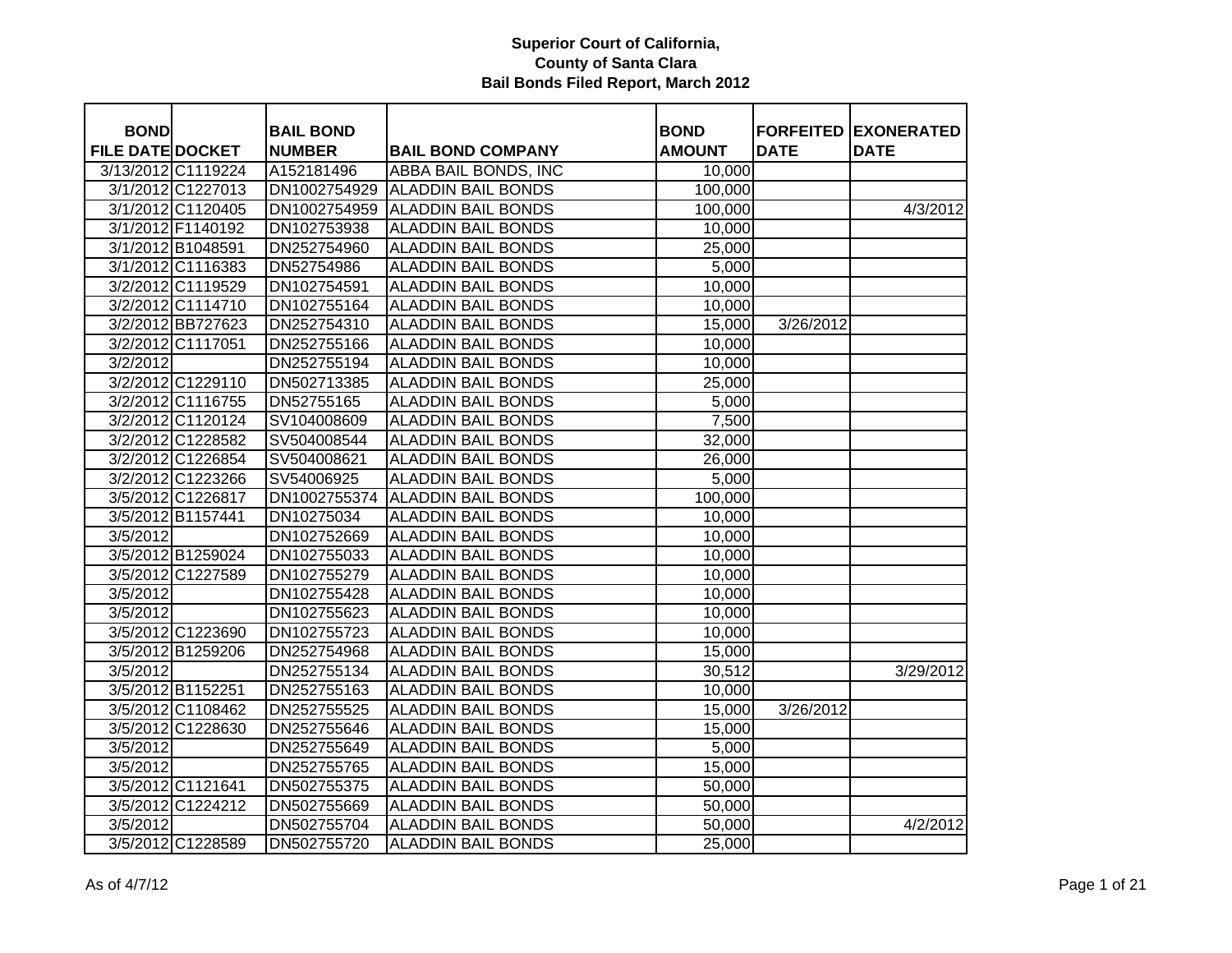| <b>BOND</b>             |                    | <b>BAIL BOND</b> |                           | <b>BOND</b>   |             | <b>FORFEITED EXONERATED</b> |
|-------------------------|--------------------|------------------|---------------------------|---------------|-------------|-----------------------------|
| <b>FILE DATE DOCKET</b> |                    | <b>NUMBER</b>    | <b>BAIL BOND COMPANY</b>  | <b>AMOUNT</b> | <b>DATE</b> | <b>DATE</b>                 |
|                         | 3/13/2012 C1119224 | A152181496       | ABBA BAIL BONDS, INC      | 10,000        |             |                             |
|                         | 3/1/2012 C1227013  | DN1002754929     | <b>ALADDIN BAIL BONDS</b> | 100,000       |             |                             |
|                         | 3/1/2012 C1120405  | DN1002754959     | <b>ALADDIN BAIL BONDS</b> | 100,000       |             | 4/3/2012                    |
|                         | 3/1/2012 F1140192  | DN102753938      | <b>ALADDIN BAIL BONDS</b> | 10,000        |             |                             |
|                         | 3/1/2012 B1048591  | DN252754960      | <b>ALADDIN BAIL BONDS</b> | 25,000        |             |                             |
|                         | 3/1/2012 C1116383  | DN52754986       | <b>ALADDIN BAIL BONDS</b> | 5,000         |             |                             |
|                         | 3/2/2012 C1119529  | DN102754591      | <b>ALADDIN BAIL BONDS</b> | 10,000        |             |                             |
|                         | 3/2/2012 C1114710  | DN102755164      | <b>ALADDIN BAIL BONDS</b> | 10,000        |             |                             |
|                         | 3/2/2012 BB727623  | DN252754310      | <b>ALADDIN BAIL BONDS</b> | 15,000        | 3/26/2012   |                             |
|                         | 3/2/2012 C1117051  | DN252755166      | <b>ALADDIN BAIL BONDS</b> | 10,000        |             |                             |
| 3/2/2012                |                    | DN252755194      | <b>ALADDIN BAIL BONDS</b> | 10,000        |             |                             |
|                         | 3/2/2012 C1229110  | DN502713385      | <b>ALADDIN BAIL BONDS</b> | 25,000        |             |                             |
|                         | 3/2/2012 C1116755  | DN52755165       | <b>ALADDIN BAIL BONDS</b> | 5,000         |             |                             |
|                         | 3/2/2012 C1120124  | SV104008609      | <b>ALADDIN BAIL BONDS</b> | 7,500         |             |                             |
|                         | 3/2/2012 C1228582  | SV504008544      | <b>ALADDIN BAIL BONDS</b> | 32,000        |             |                             |
|                         | 3/2/2012 C1226854  | SV504008621      | <b>ALADDIN BAIL BONDS</b> | 26,000        |             |                             |
|                         | 3/2/2012 C1223266  | SV54006925       | <b>ALADDIN BAIL BONDS</b> | 5,000         |             |                             |
|                         | 3/5/2012 C1226817  | DN1002755374     | <b>ALADDIN BAIL BONDS</b> | 100,000       |             |                             |
|                         | 3/5/2012 B1157441  | DN10275034       | <b>ALADDIN BAIL BONDS</b> | 10,000        |             |                             |
| 3/5/2012                |                    | DN102752669      | <b>ALADDIN BAIL BONDS</b> | 10,000        |             |                             |
|                         | 3/5/2012 B1259024  | DN102755033      | <b>ALADDIN BAIL BONDS</b> | 10,000        |             |                             |
|                         | 3/5/2012 C1227589  | DN102755279      | <b>ALADDIN BAIL BONDS</b> | 10,000        |             |                             |
| 3/5/2012                |                    | DN102755428      | <b>ALADDIN BAIL BONDS</b> | 10,000        |             |                             |
| 3/5/2012                |                    | DN102755623      | <b>ALADDIN BAIL BONDS</b> | 10,000        |             |                             |
|                         | 3/5/2012 C1223690  | DN102755723      | <b>ALADDIN BAIL BONDS</b> | 10,000        |             |                             |
|                         | 3/5/2012 B1259206  | DN252754968      | <b>ALADDIN BAIL BONDS</b> | 15,000        |             |                             |
| 3/5/2012                |                    | DN252755134      | <b>ALADDIN BAIL BONDS</b> | 30,512        |             | 3/29/2012                   |
|                         | 3/5/2012 B1152251  | DN252755163      | <b>ALADDIN BAIL BONDS</b> | 10,000        |             |                             |
|                         | 3/5/2012 C1108462  | DN252755525      | <b>ALADDIN BAIL BONDS</b> | 15,000        | 3/26/2012   |                             |
|                         | 3/5/2012 C1228630  | DN252755646      | <b>ALADDIN BAIL BONDS</b> | 15,000        |             |                             |
| 3/5/2012                |                    | DN252755649      | <b>ALADDIN BAIL BONDS</b> | 5,000         |             |                             |
| 3/5/2012                |                    | DN252755765      | <b>ALADDIN BAIL BONDS</b> | 15,000        |             |                             |
|                         | 3/5/2012 C1121641  | DN502755375      | <b>ALADDIN BAIL BONDS</b> | 50,000        |             |                             |
|                         | 3/5/2012 C1224212  | DN502755669      | <b>ALADDIN BAIL BONDS</b> | 50,000        |             |                             |
| $\sqrt{3}/5/2012$       |                    | DN502755704      | <b>ALADDIN BAIL BONDS</b> | 50,000        |             | 4/2/2012                    |
|                         | 3/5/2012 C1228589  | DN502755720      | <b>ALADDIN BAIL BONDS</b> | 25,000        |             |                             |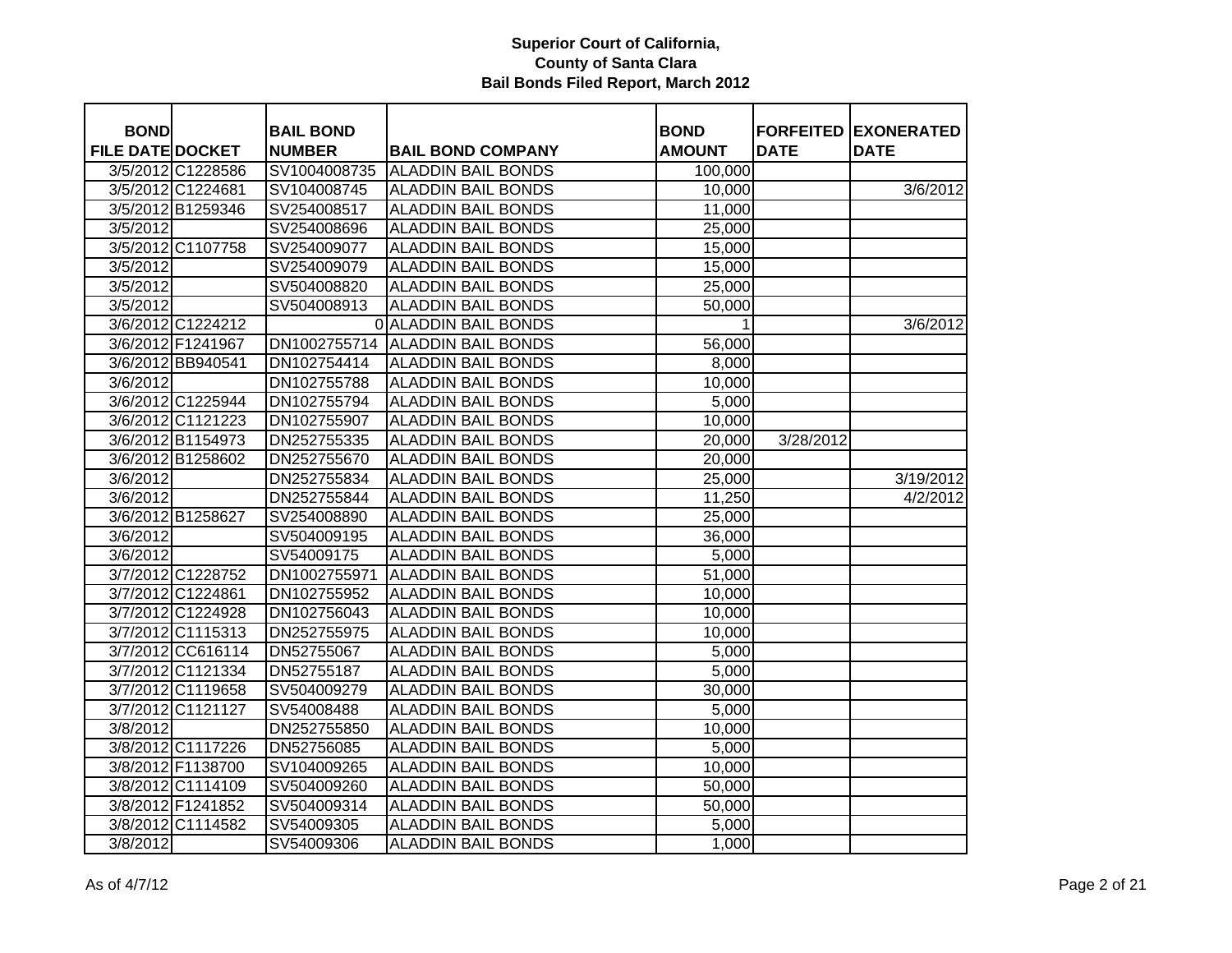| <b>BOND</b>             |                   | <b>BAIL BOND</b> |                                 | <b>BOND</b>   |             | <b>FORFEITED EXONERATED</b> |
|-------------------------|-------------------|------------------|---------------------------------|---------------|-------------|-----------------------------|
| <b>FILE DATE DOCKET</b> |                   | <b>NUMBER</b>    | <b>BAIL BOND COMPANY</b>        | <b>AMOUNT</b> | <b>DATE</b> | <b>DATE</b>                 |
|                         | 3/5/2012 C1228586 | SV1004008735     | <b>ALADDIN BAIL BONDS</b>       | 100,000       |             |                             |
|                         | 3/5/2012 C1224681 | SV104008745      | <b>ALADDIN BAIL BONDS</b>       | 10,000        |             | 3/6/2012                    |
|                         | 3/5/2012 B1259346 | SV254008517      | <b>ALADDIN BAIL BONDS</b>       | 11,000        |             |                             |
| 3/5/2012                |                   | SV254008696      | <b>ALADDIN BAIL BONDS</b>       | 25,000        |             |                             |
|                         | 3/5/2012 C1107758 | SV254009077      | <b>ALADDIN BAIL BONDS</b>       | 15,000        |             |                             |
| 3/5/2012                |                   | SV254009079      | <b>ALADDIN BAIL BONDS</b>       | 15,000        |             |                             |
| 3/5/2012                |                   | SV504008820      | <b>ALADDIN BAIL BONDS</b>       | 25,000        |             |                             |
| 3/5/2012                |                   | SV504008913      | <b>ALADDIN BAIL BONDS</b>       | 50,000        |             |                             |
|                         | 3/6/2012 C1224212 |                  | <b>O ALADDIN BAIL BONDS</b>     | 1             |             | 3/6/2012                    |
|                         | 3/6/2012 F1241967 |                  | DN1002755714 ALADDIN BAIL BONDS | 56,000        |             |                             |
|                         | 3/6/2012 BB940541 | DN102754414      | <b>ALADDIN BAIL BONDS</b>       | 8,000         |             |                             |
| 3/6/2012                |                   | DN102755788      | <b>ALADDIN BAIL BONDS</b>       | 10,000        |             |                             |
|                         | 3/6/2012 C1225944 | DN102755794      | <b>ALADDIN BAIL BONDS</b>       | 5,000         |             |                             |
|                         | 3/6/2012 C1121223 | DN102755907      | <b>ALADDIN BAIL BONDS</b>       | 10,000        |             |                             |
|                         | 3/6/2012 B1154973 | DN252755335      | <b>ALADDIN BAIL BONDS</b>       | 20,000        | 3/28/2012   |                             |
|                         | 3/6/2012 B1258602 | DN252755670      | <b>ALADDIN BAIL BONDS</b>       | 20,000        |             |                             |
| 3/6/2012                |                   | DN252755834      | <b>ALADDIN BAIL BONDS</b>       | 25,000        |             | 3/19/2012                   |
| 3/6/2012                |                   | DN252755844      | <b>ALADDIN BAIL BONDS</b>       | 11,250        |             | 4/2/2012                    |
|                         | 3/6/2012 B1258627 | SV254008890      | <b>ALADDIN BAIL BONDS</b>       | 25,000        |             |                             |
| 3/6/2012                |                   | SV504009195      | <b>ALADDIN BAIL BONDS</b>       | 36,000        |             |                             |
| 3/6/2012                |                   | SV54009175       | <b>ALADDIN BAIL BONDS</b>       | 5,000         |             |                             |
|                         | 3/7/2012 C1228752 | DN1002755971     | <b>ALADDIN BAIL BONDS</b>       | 51,000        |             |                             |
|                         | 3/7/2012 C1224861 | DN102755952      | <b>ALADDIN BAIL BONDS</b>       | 10,000        |             |                             |
|                         | 3/7/2012 C1224928 | DN102756043      | <b>ALADDIN BAIL BONDS</b>       | 10,000        |             |                             |
|                         | 3/7/2012 C1115313 | DN252755975      | <b>ALADDIN BAIL BONDS</b>       | 10,000        |             |                             |
|                         | 3/7/2012 CC616114 | DN52755067       | <b>ALADDIN BAIL BONDS</b>       | 5,000         |             |                             |
|                         | 3/7/2012 C1121334 | DN52755187       | <b>ALADDIN BAIL BONDS</b>       | 5,000         |             |                             |
|                         | 3/7/2012 C1119658 | SV504009279      | <b>ALADDIN BAIL BONDS</b>       | 30,000        |             |                             |
|                         | 3/7/2012 C1121127 | SV54008488       | <b>ALADDIN BAIL BONDS</b>       | 5,000         |             |                             |
| 3/8/2012                |                   | DN252755850      | <b>ALADDIN BAIL BONDS</b>       | 10,000        |             |                             |
|                         | 3/8/2012 C1117226 | DN52756085       | <b>ALADDIN BAIL BONDS</b>       | 5,000         |             |                             |
|                         | 3/8/2012 F1138700 | SV104009265      | <b>ALADDIN BAIL BONDS</b>       | 10,000        |             |                             |
|                         | 3/8/2012 C1114109 | SV504009260      | <b>ALADDIN BAIL BONDS</b>       | 50,000        |             |                             |
|                         | 3/8/2012 F1241852 | SV504009314      | <b>ALADDIN BAIL BONDS</b>       | 50,000        |             |                             |
|                         | 3/8/2012 C1114582 | SV54009305       | <b>ALADDIN BAIL BONDS</b>       | 5,000         |             |                             |
| 3/8/2012                |                   | SV54009306       | <b>ALADDIN BAIL BONDS</b>       | 1,000         |             |                             |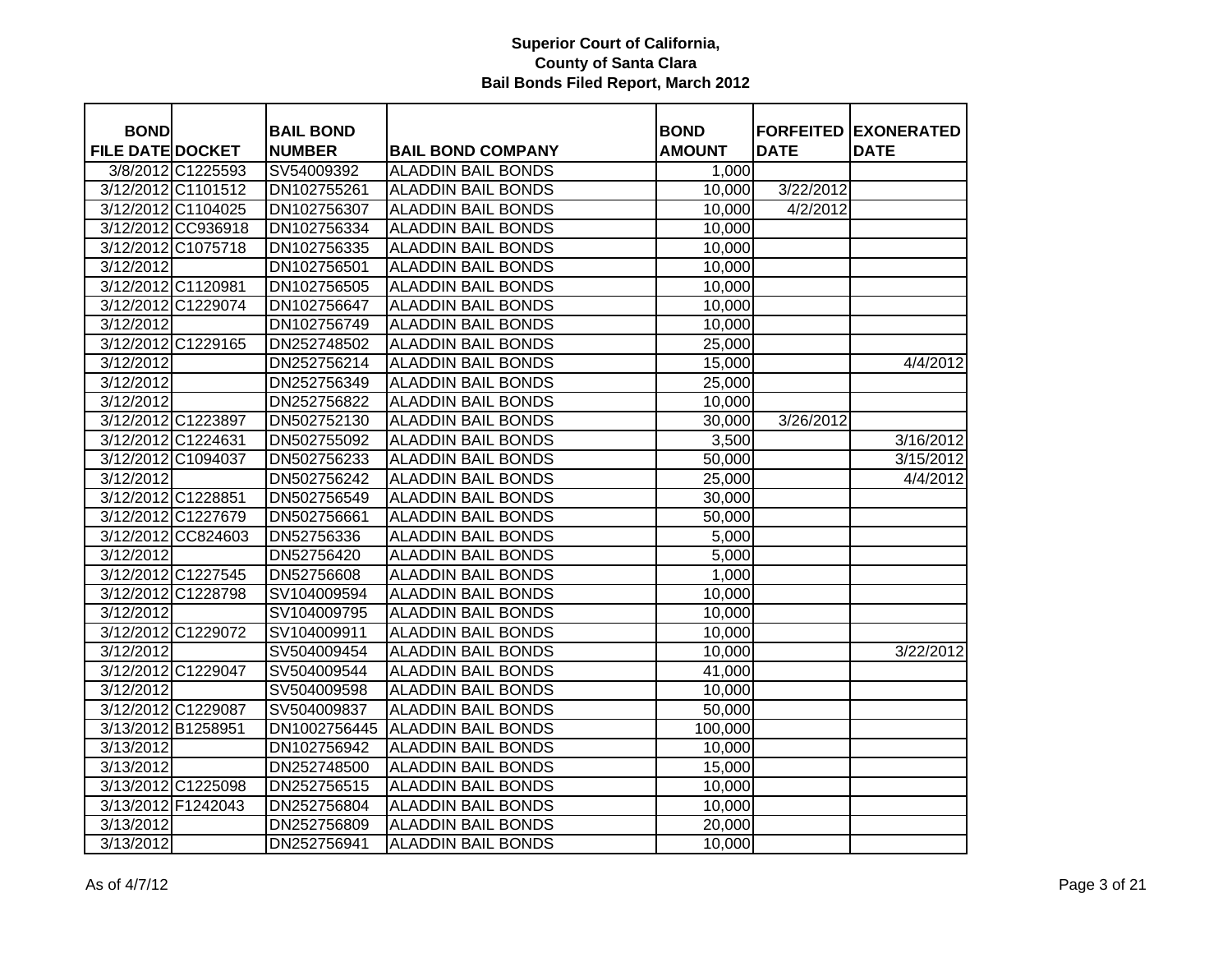| <b>BOND</b>             |                    | <b>BAIL BOND</b> |                           | <b>BOND</b>        |             | <b>FORFEITED EXONERATED</b> |
|-------------------------|--------------------|------------------|---------------------------|--------------------|-------------|-----------------------------|
| <b>FILE DATE DOCKET</b> |                    | <b>NUMBER</b>    | <b>BAIL BOND COMPANY</b>  | <b>AMOUNT</b>      | <b>DATE</b> | <b>DATE</b>                 |
|                         | 3/8/2012 C1225593  | SV54009392       | <b>ALADDIN BAIL BONDS</b> | 1,000              |             |                             |
|                         | 3/12/2012 C1101512 | DN102755261      | <b>ALADDIN BAIL BONDS</b> | 10,000             | 3/22/2012   |                             |
|                         | 3/12/2012 C1104025 | DN102756307      | <b>ALADDIN BAIL BONDS</b> | 10,000             | 4/2/2012    |                             |
|                         | 3/12/2012 CC936918 | DN102756334      | <b>ALADDIN BAIL BONDS</b> | 10,000             |             |                             |
|                         | 3/12/2012 C1075718 | DN102756335      | <b>ALADDIN BAIL BONDS</b> | 10,000             |             |                             |
| 3/12/2012               |                    | DN102756501      | <b>ALADDIN BAIL BONDS</b> | 10,000             |             |                             |
|                         | 3/12/2012 C1120981 | DN102756505      | <b>ALADDIN BAIL BONDS</b> | 10,000             |             |                             |
|                         | 3/12/2012 C1229074 | DN102756647      | <b>ALADDIN BAIL BONDS</b> | 10,000             |             |                             |
| 3/12/2012               |                    | DN102756749      | <b>ALADDIN BAIL BONDS</b> | 10,000             |             |                             |
|                         | 3/12/2012 C1229165 | DN252748502      | <b>ALADDIN BAIL BONDS</b> | 25,000             |             |                             |
| 3/12/2012               |                    | DN252756214      | <b>ALADDIN BAIL BONDS</b> | 15,000             |             | 4/4/2012                    |
| 3/12/2012               |                    | DN252756349      | <b>ALADDIN BAIL BONDS</b> | 25,000             |             |                             |
| 3/12/2012               |                    | DN252756822      | <b>ALADDIN BAIL BONDS</b> | 10,000             |             |                             |
|                         | 3/12/2012 C1223897 | DN502752130      | <b>ALADDIN BAIL BONDS</b> | 30,000             | 3/26/2012   |                             |
|                         | 3/12/2012 C1224631 | DN502755092      | <b>ALADDIN BAIL BONDS</b> | 3,500              |             | 3/16/2012                   |
|                         | 3/12/2012 C1094037 | DN502756233      | <b>ALADDIN BAIL BONDS</b> | 50,000             |             | 3/15/2012                   |
| 3/12/2012               |                    | DN502756242      | <b>ALADDIN BAIL BONDS</b> | 25,000             |             | 4/4/2012                    |
|                         | 3/12/2012 C1228851 | DN502756549      | <b>ALADDIN BAIL BONDS</b> | 30,000             |             |                             |
|                         | 3/12/2012 C1227679 | DN502756661      | <b>ALADDIN BAIL BONDS</b> | 50,000             |             |                             |
|                         | 3/12/2012 CC824603 | DN52756336       | <b>ALADDIN BAIL BONDS</b> | $\overline{5,000}$ |             |                             |
| 3/12/2012               |                    | DN52756420       | <b>ALADDIN BAIL BONDS</b> | 5,000              |             |                             |
|                         | 3/12/2012 C1227545 | DN52756608       | <b>ALADDIN BAIL BONDS</b> | 1,000              |             |                             |
|                         | 3/12/2012 C1228798 | SV104009594      | <b>ALADDIN BAIL BONDS</b> | 10,000             |             |                             |
| 3/12/2012               |                    | SV104009795      | <b>ALADDIN BAIL BONDS</b> | 10,000             |             |                             |
|                         | 3/12/2012 C1229072 | SV104009911      | <b>ALADDIN BAIL BONDS</b> | 10,000             |             |                             |
| 3/12/2012               |                    | SV504009454      | <b>ALADDIN BAIL BONDS</b> | 10,000             |             | 3/22/2012                   |
|                         | 3/12/2012 C1229047 | SV504009544      | <b>ALADDIN BAIL BONDS</b> | 41,000             |             |                             |
| 3/12/2012               |                    | SV504009598      | <b>ALADDIN BAIL BONDS</b> | 10,000             |             |                             |
|                         | 3/12/2012 C1229087 | SV504009837      | <b>ALADDIN BAIL BONDS</b> | 50,000             |             |                             |
| 3/13/2012 B1258951      |                    | DN1002756445     | <b>ALADDIN BAIL BONDS</b> | 100,000            |             |                             |
| 3/13/2012               |                    | DN102756942      | <b>ALADDIN BAIL BONDS</b> | 10,000             |             |                             |
| 3/13/2012               |                    | DN252748500      | <b>ALADDIN BAIL BONDS</b> | 15,000             |             |                             |
|                         | 3/13/2012 C1225098 | DN252756515      | <b>ALADDIN BAIL BONDS</b> | 10,000             |             |                             |
|                         | 3/13/2012 F1242043 | DN252756804      | <b>ALADDIN BAIL BONDS</b> | 10,000             |             |                             |
| 3/13/2012               |                    | DN252756809      | <b>ALADDIN BAIL BONDS</b> | 20,000             |             |                             |
| 3/13/2012               |                    | DN252756941      | <b>ALADDIN BAIL BONDS</b> | 10,000             |             |                             |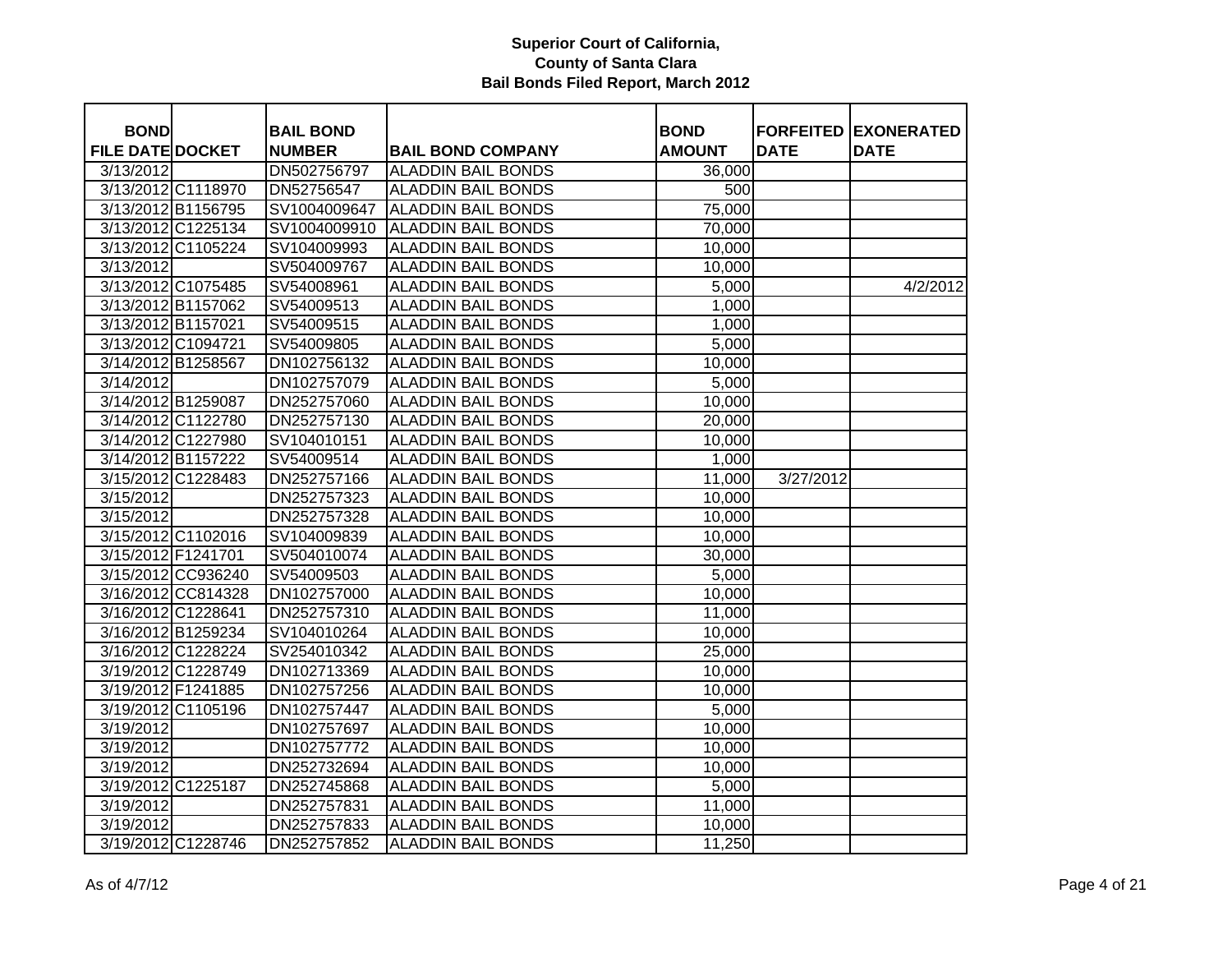| <b>BOND</b>             |                    | <b>BAIL BOND</b> |                           | <b>BOND</b>   |             | <b>FORFEITED EXONERATED</b> |
|-------------------------|--------------------|------------------|---------------------------|---------------|-------------|-----------------------------|
| <b>FILE DATE DOCKET</b> |                    | <b>NUMBER</b>    | <b>BAIL BOND COMPANY</b>  | <b>AMOUNT</b> | <b>DATE</b> | <b>DATE</b>                 |
| 3/13/2012               |                    | DN502756797      | <b>ALADDIN BAIL BONDS</b> | 36,000        |             |                             |
|                         | 3/13/2012 C1118970 | DN52756547       | <b>ALADDIN BAIL BONDS</b> | 500           |             |                             |
| 3/13/2012 B1156795      |                    | SV1004009647     | <b>ALADDIN BAIL BONDS</b> | 75,000        |             |                             |
|                         | 3/13/2012 C1225134 | SV1004009910     | <b>ALADDIN BAIL BONDS</b> | 70,000        |             |                             |
|                         | 3/13/2012 C1105224 | SV104009993      | <b>ALADDIN BAIL BONDS</b> | 10,000        |             |                             |
| 3/13/2012               |                    | SV504009767      | <b>ALADDIN BAIL BONDS</b> | 10,000        |             |                             |
|                         | 3/13/2012 C1075485 | SV54008961       | <b>ALADDIN BAIL BONDS</b> | 5,000         |             | 4/2/2012                    |
| 3/13/2012 B1157062      |                    | SV54009513       | <b>ALADDIN BAIL BONDS</b> | 1,000         |             |                             |
| 3/13/2012 B1157021      |                    | SV54009515       | <b>ALADDIN BAIL BONDS</b> | 1,000         |             |                             |
| 3/13/2012 C1094721      |                    | SV54009805       | <b>ALADDIN BAIL BONDS</b> | 5,000         |             |                             |
| 3/14/2012 B1258567      |                    | DN102756132      | <b>ALADDIN BAIL BONDS</b> | 10,000        |             |                             |
| 3/14/2012               |                    | DN102757079      | <b>ALADDIN BAIL BONDS</b> | 5,000         |             |                             |
| 3/14/2012 B1259087      |                    | DN252757060      | <b>ALADDIN BAIL BONDS</b> | 10,000        |             |                             |
|                         | 3/14/2012 C1122780 | DN252757130      | <b>ALADDIN BAIL BONDS</b> | 20,000        |             |                             |
|                         | 3/14/2012 C1227980 | SV104010151      | <b>ALADDIN BAIL BONDS</b> | 10,000        |             |                             |
| 3/14/2012 B1157222      |                    | SV54009514       | <b>ALADDIN BAIL BONDS</b> | 1,000         |             |                             |
|                         | 3/15/2012 C1228483 | DN252757166      | <b>ALADDIN BAIL BONDS</b> | 11,000        | 3/27/2012   |                             |
| 3/15/2012               |                    | DN252757323      | <b>ALADDIN BAIL BONDS</b> | 10,000        |             |                             |
| 3/15/2012               |                    | DN252757328      | <b>ALADDIN BAIL BONDS</b> | 10,000        |             |                             |
|                         | 3/15/2012 C1102016 | SV104009839      | <b>ALADDIN BAIL BONDS</b> | 10,000        |             |                             |
| 3/15/2012 F1241701      |                    | SV504010074      | <b>ALADDIN BAIL BONDS</b> | 30,000        |             |                             |
|                         | 3/15/2012 CC936240 | SV54009503       | <b>ALADDIN BAIL BONDS</b> | 5,000         |             |                             |
|                         | 3/16/2012 CC814328 | DN102757000      | <b>ALADDIN BAIL BONDS</b> | 10,000        |             |                             |
| 3/16/2012 C1228641      |                    | DN252757310      | <b>ALADDIN BAIL BONDS</b> | 11,000        |             |                             |
| 3/16/2012 B1259234      |                    | SV104010264      | <b>ALADDIN BAIL BONDS</b> | 10,000        |             |                             |
|                         | 3/16/2012 C1228224 | SV254010342      | <b>ALADDIN BAIL BONDS</b> | 25,000        |             |                             |
|                         | 3/19/2012 C1228749 | DN102713369      | <b>ALADDIN BAIL BONDS</b> | 10,000        |             |                             |
| 3/19/2012 F1241885      |                    | DN102757256      | <b>ALADDIN BAIL BONDS</b> | 10,000        |             |                             |
|                         | 3/19/2012 C1105196 | DN102757447      | <b>ALADDIN BAIL BONDS</b> | 5,000         |             |                             |
| 3/19/2012               |                    | DN102757697      | <b>ALADDIN BAIL BONDS</b> | 10,000        |             |                             |
| 3/19/2012               |                    | DN102757772      | <b>ALADDIN BAIL BONDS</b> | 10,000        |             |                             |
| 3/19/2012               |                    | DN252732694      | <b>ALADDIN BAIL BONDS</b> | 10,000        |             |                             |
| 3/19/2012 C1225187      |                    | DN252745868      | <b>ALADDIN BAIL BONDS</b> | 5,000         |             |                             |
| 3/19/2012               |                    | DN252757831      | <b>ALADDIN BAIL BONDS</b> | 11,000        |             |                             |
| 3/19/2012               |                    | DN252757833      | <b>ALADDIN BAIL BONDS</b> | 10,000        |             |                             |
|                         | 3/19/2012 C1228746 | DN252757852      | <b>ALADDIN BAIL BONDS</b> | 11,250        |             |                             |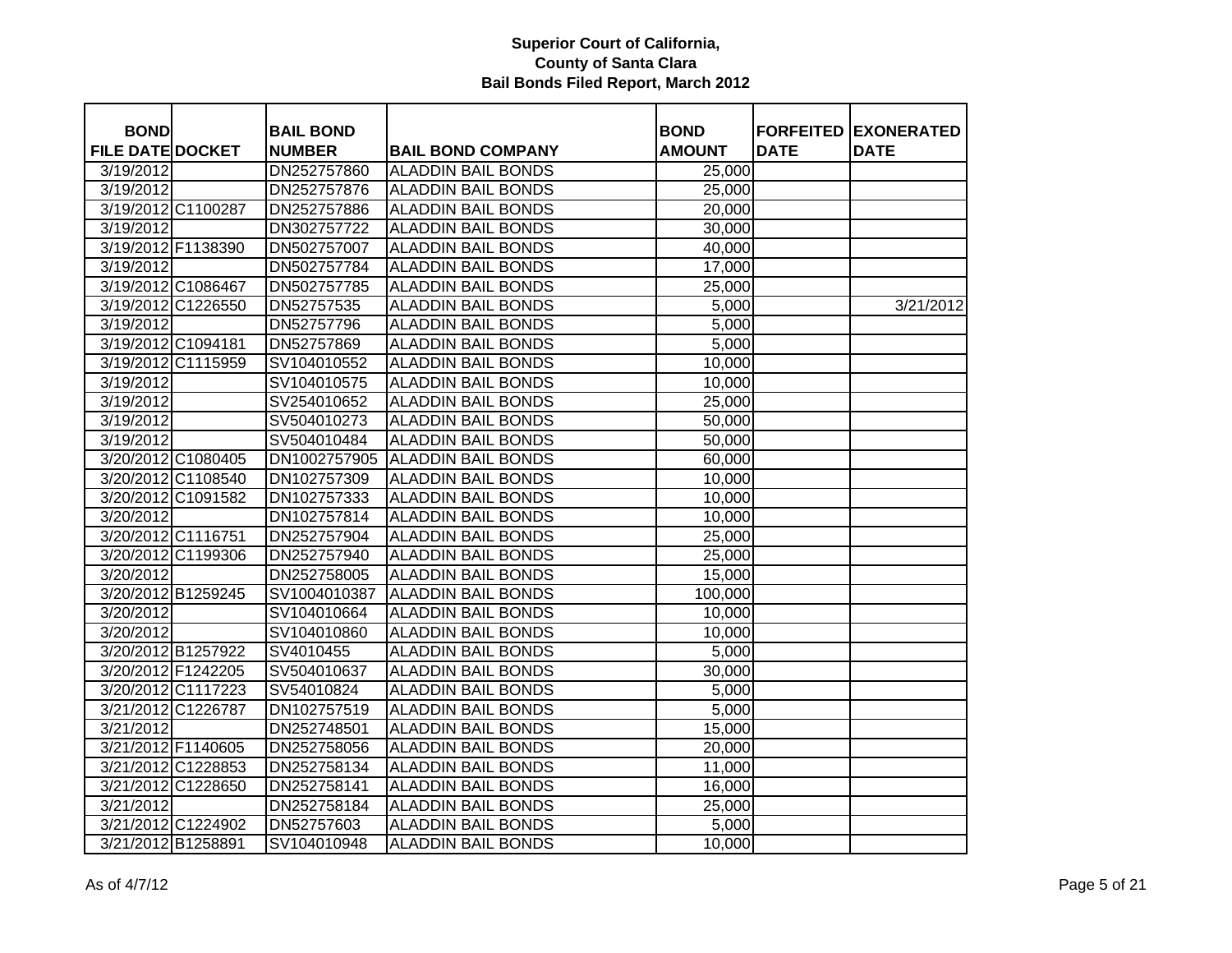| <b>BOND</b>             |                    | <b>BAIL BOND</b> |                           | <b>BOND</b>   |             | <b>FORFEITED EXONERATED</b> |
|-------------------------|--------------------|------------------|---------------------------|---------------|-------------|-----------------------------|
| <b>FILE DATE DOCKET</b> |                    | <b>NUMBER</b>    | <b>BAIL BOND COMPANY</b>  | <b>AMOUNT</b> | <b>DATE</b> | <b>DATE</b>                 |
| 3/19/2012               |                    | DN252757860      | <b>ALADDIN BAIL BONDS</b> | 25,000        |             |                             |
| 3/19/2012               |                    | DN252757876      | <b>ALADDIN BAIL BONDS</b> | 25,000        |             |                             |
|                         | 3/19/2012 C1100287 | DN252757886      | <b>ALADDIN BAIL BONDS</b> | 20,000        |             |                             |
| 3/19/2012               |                    | DN302757722      | <b>ALADDIN BAIL BONDS</b> | 30,000        |             |                             |
| 3/19/2012 F1138390      |                    | DN502757007      | <b>ALADDIN BAIL BONDS</b> | 40,000        |             |                             |
| 3/19/2012               |                    | DN502757784      | <b>ALADDIN BAIL BONDS</b> | 17,000        |             |                             |
| 3/19/2012 C1086467      |                    | DN502757785      | <b>ALADDIN BAIL BONDS</b> | 25,000        |             |                             |
|                         | 3/19/2012 C1226550 | DN52757535       | <b>ALADDIN BAIL BONDS</b> | 5,000         |             | 3/21/2012                   |
| 3/19/2012               |                    | DN52757796       | <b>ALADDIN BAIL BONDS</b> | 5,000         |             |                             |
| 3/19/2012 C1094181      |                    | DN52757869       | <b>ALADDIN BAIL BONDS</b> | 5,000         |             |                             |
|                         | 3/19/2012 C1115959 | SV104010552      | <b>ALADDIN BAIL BONDS</b> | 10,000        |             |                             |
| 3/19/2012               |                    | SV104010575      | <b>ALADDIN BAIL BONDS</b> | 10,000        |             |                             |
| 3/19/2012               |                    | SV254010652      | <b>ALADDIN BAIL BONDS</b> | 25,000        |             |                             |
| 3/19/2012               |                    | SV504010273      | <b>ALADDIN BAIL BONDS</b> | 50,000        |             |                             |
| 3/19/2012               |                    | SV504010484      | <b>ALADDIN BAIL BONDS</b> | 50,000        |             |                             |
|                         | 3/20/2012 C1080405 | DN1002757905     | <b>ALADDIN BAIL BONDS</b> | 60,000        |             |                             |
|                         | 3/20/2012 C1108540 | DN102757309      | <b>ALADDIN BAIL BONDS</b> | 10,000        |             |                             |
|                         | 3/20/2012 C1091582 | DN102757333      | <b>ALADDIN BAIL BONDS</b> | 10,000        |             |                             |
| 3/20/2012               |                    | DN102757814      | <b>ALADDIN BAIL BONDS</b> | 10,000        |             |                             |
| 3/20/2012 C1116751      |                    | DN252757904      | <b>ALADDIN BAIL BONDS</b> | 25,000        |             |                             |
|                         | 3/20/2012 C1199306 | DN252757940      | <b>ALADDIN BAIL BONDS</b> | 25,000        |             |                             |
| 3/20/2012               |                    | DN252758005      | <b>ALADDIN BAIL BONDS</b> | 15,000        |             |                             |
|                         | 3/20/2012 B1259245 | SV1004010387     | <b>ALADDIN BAIL BONDS</b> | 100,000       |             |                             |
| 3/20/2012               |                    | SV104010664      | <b>ALADDIN BAIL BONDS</b> | 10,000        |             |                             |
| 3/20/2012               |                    | SV104010860      | <b>ALADDIN BAIL BONDS</b> | 10,000        |             |                             |
|                         | 3/20/2012 B1257922 | SV4010455        | <b>ALADDIN BAIL BONDS</b> | 5,000         |             |                             |
|                         | 3/20/2012 F1242205 | SV504010637      | <b>ALADDIN BAIL BONDS</b> | 30,000        |             |                             |
|                         | 3/20/2012 C1117223 | SV54010824       | <b>ALADDIN BAIL BONDS</b> | 5,000         |             |                             |
|                         | 3/21/2012 C1226787 | DN102757519      | <b>ALADDIN BAIL BONDS</b> | 5,000         |             |                             |
| 3/21/2012               |                    | DN252748501      | <b>ALADDIN BAIL BONDS</b> | 15,000        |             |                             |
| 3/21/2012 F1140605      |                    | DN252758056      | <b>ALADDIN BAIL BONDS</b> | 20,000        |             |                             |
|                         | 3/21/2012 C1228853 | DN252758134      | <b>ALADDIN BAIL BONDS</b> | 11,000        |             |                             |
|                         | 3/21/2012 C1228650 | DN252758141      | <b>ALADDIN BAIL BONDS</b> | 16,000        |             |                             |
| 3/21/2012               |                    | DN252758184      | <b>ALADDIN BAIL BONDS</b> | 25,000        |             |                             |
|                         | 3/21/2012 C1224902 | DN52757603       | <b>ALADDIN BAIL BONDS</b> | 5,000         |             |                             |
| 3/21/2012 B1258891      |                    | SV104010948      | <b>ALADDIN BAIL BONDS</b> | 10,000        |             |                             |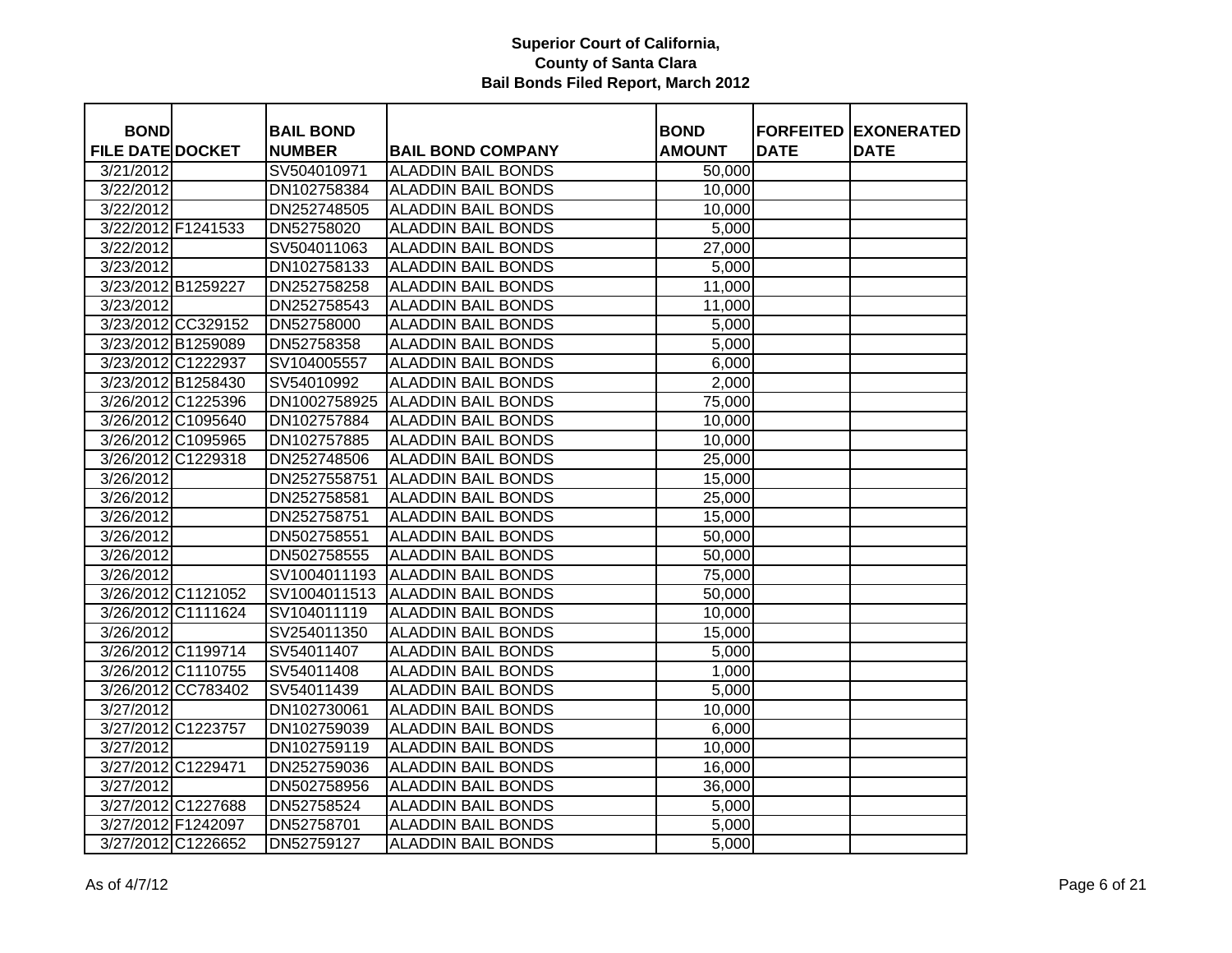| <b>BOND</b>             |                    | <b>BAIL BOND</b> |                           | <b>BOND</b>   |             | <b>FORFEITED EXONERATED</b> |
|-------------------------|--------------------|------------------|---------------------------|---------------|-------------|-----------------------------|
| <b>FILE DATE DOCKET</b> |                    | <b>NUMBER</b>    | <b>BAIL BOND COMPANY</b>  | <b>AMOUNT</b> | <b>DATE</b> | <b>DATE</b>                 |
| 3/21/2012               |                    | SV504010971      | <b>ALADDIN BAIL BONDS</b> | 50,000        |             |                             |
| 3/22/2012               |                    | DN102758384      | <b>ALADDIN BAIL BONDS</b> | 10,000        |             |                             |
| 3/22/2012               |                    | DN252748505      | <b>ALADDIN BAIL BONDS</b> | 10,000        |             |                             |
| 3/22/2012 F1241533      |                    | DN52758020       | <b>ALADDIN BAIL BONDS</b> | 5,000         |             |                             |
| 3/22/2012               |                    | SV504011063      | <b>ALADDIN BAIL BONDS</b> | 27,000        |             |                             |
| 3/23/2012               |                    | DN102758133      | <b>ALADDIN BAIL BONDS</b> | 5,000         |             |                             |
| 3/23/2012 B1259227      |                    | DN252758258      | <b>ALADDIN BAIL BONDS</b> | 11,000        |             |                             |
| 3/23/2012               |                    | DN252758543      | <b>ALADDIN BAIL BONDS</b> | 11,000        |             |                             |
|                         | 3/23/2012 CC329152 | DN52758000       | <b>ALADDIN BAIL BONDS</b> | 5,000         |             |                             |
| 3/23/2012 B1259089      |                    | DN52758358       | <b>ALADDIN BAIL BONDS</b> | 5,000         |             |                             |
| 3/23/2012 C1222937      |                    | SV104005557      | <b>ALADDIN BAIL BONDS</b> | 6,000         |             |                             |
| 3/23/2012 B1258430      |                    | SV54010992       | <b>ALADDIN BAIL BONDS</b> | 2,000         |             |                             |
| 3/26/2012 C1225396      |                    | DN1002758925     | <b>ALADDIN BAIL BONDS</b> | 75,000        |             |                             |
|                         | 3/26/2012 C1095640 | DN102757884      | <b>ALADDIN BAIL BONDS</b> | 10,000        |             |                             |
|                         | 3/26/2012 C1095965 | DN102757885      | <b>ALADDIN BAIL BONDS</b> | 10,000        |             |                             |
| 3/26/2012 C1229318      |                    | DN252748506      | <b>ALADDIN BAIL BONDS</b> | 25,000        |             |                             |
| 3/26/2012               |                    | DN2527558751     | <b>ALADDIN BAIL BONDS</b> | 15,000        |             |                             |
| 3/26/2012               |                    | DN252758581      | <b>ALADDIN BAIL BONDS</b> | 25,000        |             |                             |
| 3/26/2012               |                    | DN252758751      | <b>ALADDIN BAIL BONDS</b> | 15,000        |             |                             |
| 3/26/2012               |                    | DN502758551      | <b>ALADDIN BAIL BONDS</b> | 50,000        |             |                             |
| 3/26/2012               |                    | DN502758555      | <b>ALADDIN BAIL BONDS</b> | 50,000        |             |                             |
| 3/26/2012               |                    | SV1004011193     | <b>ALADDIN BAIL BONDS</b> | 75,000        |             |                             |
| 3/26/2012 C1121052      |                    | SV1004011513     | <b>ALADDIN BAIL BONDS</b> | 50,000        |             |                             |
|                         | 3/26/2012 C1111624 | SV104011119      | <b>ALADDIN BAIL BONDS</b> | 10,000        |             |                             |
| 3/26/2012               |                    | SV254011350      | <b>ALADDIN BAIL BONDS</b> | 15,000        |             |                             |
|                         | 3/26/2012 C1199714 | SV54011407       | <b>ALADDIN BAIL BONDS</b> | 5,000         |             |                             |
|                         | 3/26/2012 C1110755 | SV54011408       | <b>ALADDIN BAIL BONDS</b> | 1,000         |             |                             |
|                         | 3/26/2012 CC783402 | SV54011439       | <b>ALADDIN BAIL BONDS</b> | 5,000         |             |                             |
| 3/27/2012               |                    | DN102730061      | <b>ALADDIN BAIL BONDS</b> | 10,000        |             |                             |
| 3/27/2012 C1223757      |                    | DN102759039      | <b>ALADDIN BAIL BONDS</b> | 6,000         |             |                             |
| 3/27/2012               |                    | DN102759119      | <b>ALADDIN BAIL BONDS</b> | 10,000        |             |                             |
| 3/27/2012 C1229471      |                    | DN252759036      | <b>ALADDIN BAIL BONDS</b> | 16,000        |             |                             |
| 3/27/2012               |                    | DN502758956      | <b>ALADDIN BAIL BONDS</b> | 36,000        |             |                             |
| 3/27/2012 C1227688      |                    | DN52758524       | <b>ALADDIN BAIL BONDS</b> | 5,000         |             |                             |
| 3/27/2012 F1242097      |                    | DN52758701       | <b>ALADDIN BAIL BONDS</b> | 5,000         |             |                             |
|                         | 3/27/2012 C1226652 | DN52759127       | <b>ALADDIN BAIL BONDS</b> | 5,000         |             |                             |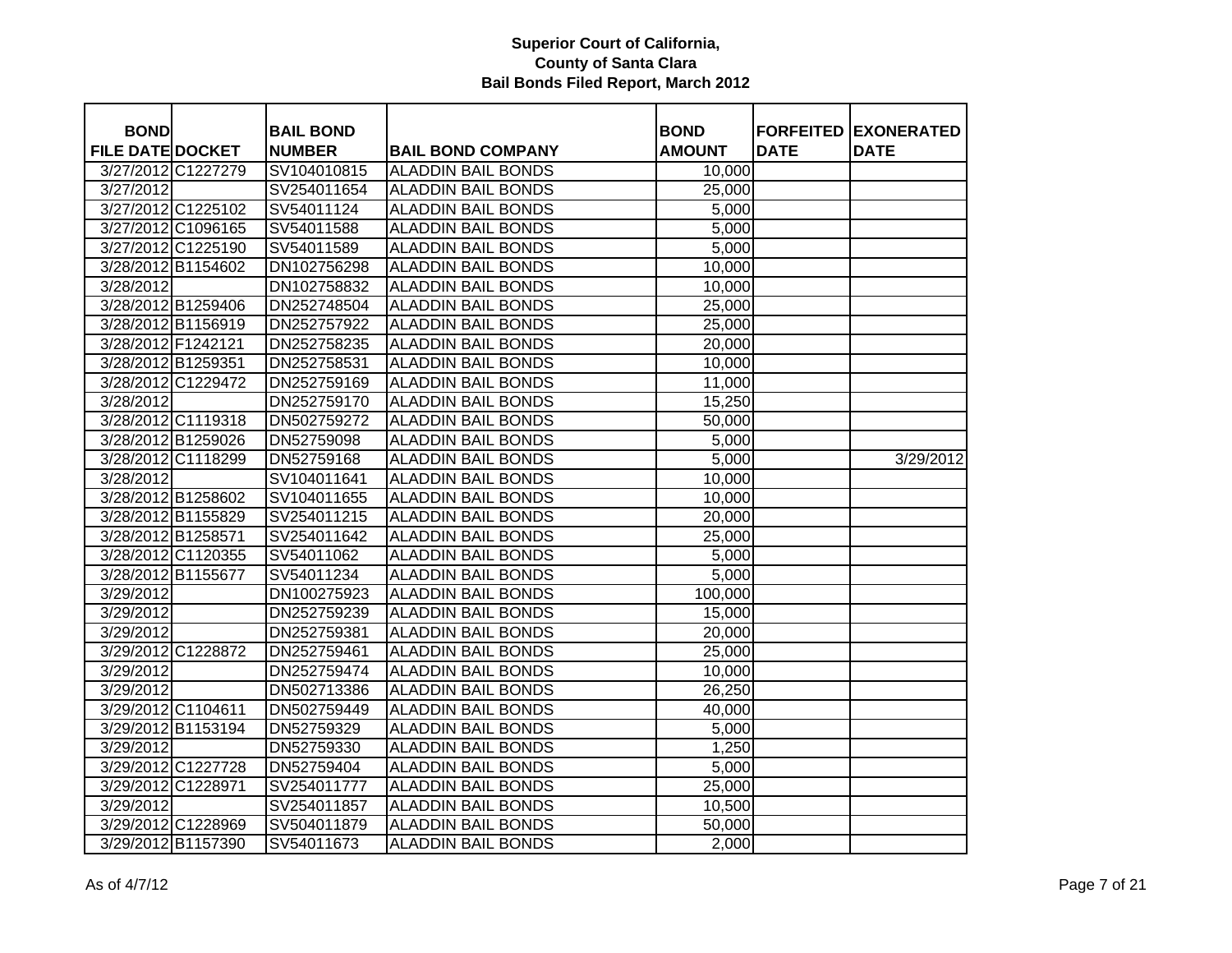| <b>BOND</b>             |                    | <b>BAIL BOND</b> |                           | <b>BOND</b>   |             | <b>FORFEITED EXONERATED</b> |
|-------------------------|--------------------|------------------|---------------------------|---------------|-------------|-----------------------------|
| <b>FILE DATE DOCKET</b> |                    | <b>NUMBER</b>    | <b>BAIL BOND COMPANY</b>  | <b>AMOUNT</b> | <b>DATE</b> | <b>DATE</b>                 |
|                         | 3/27/2012 C1227279 | SV104010815      | <b>ALADDIN BAIL BONDS</b> | 10,000        |             |                             |
| 3/27/2012               |                    | SV254011654      | <b>ALADDIN BAIL BONDS</b> | 25,000        |             |                             |
|                         | 3/27/2012 C1225102 | SV54011124       | <b>ALADDIN BAIL BONDS</b> | 5,000         |             |                             |
|                         | 3/27/2012 C1096165 | SV54011588       | <b>ALADDIN BAIL BONDS</b> | 5,000         |             |                             |
|                         | 3/27/2012 C1225190 | SV54011589       | <b>ALADDIN BAIL BONDS</b> | 5,000         |             |                             |
| 3/28/2012 B1154602      |                    | DN102756298      | <b>ALADDIN BAIL BONDS</b> | 10,000        |             |                             |
| 3/28/2012               |                    | DN102758832      | <b>ALADDIN BAIL BONDS</b> | 10,000        |             |                             |
| 3/28/2012 B1259406      |                    | DN252748504      | <b>ALADDIN BAIL BONDS</b> | 25,000        |             |                             |
| 3/28/2012 B1156919      |                    | DN252757922      | <b>ALADDIN BAIL BONDS</b> | 25,000        |             |                             |
| 3/28/2012 F1242121      |                    | DN252758235      | <b>ALADDIN BAIL BONDS</b> | 20,000        |             |                             |
| 3/28/2012 B1259351      |                    | DN252758531      | <b>ALADDIN BAIL BONDS</b> | 10,000        |             |                             |
|                         | 3/28/2012 C1229472 | DN252759169      | <b>ALADDIN BAIL BONDS</b> | 11,000        |             |                             |
| 3/28/2012               |                    | DN252759170      | <b>ALADDIN BAIL BONDS</b> | 15,250        |             |                             |
|                         | 3/28/2012 C1119318 | DN502759272      | <b>ALADDIN BAIL BONDS</b> | 50,000        |             |                             |
|                         | 3/28/2012 B1259026 | DN52759098       | <b>ALADDIN BAIL BONDS</b> | 5,000         |             |                             |
|                         | 3/28/2012 C1118299 | DN52759168       | <b>ALADDIN BAIL BONDS</b> | 5,000         |             | 3/29/2012                   |
| 3/28/2012               |                    | SV104011641      | <b>ALADDIN BAIL BONDS</b> | 10,000        |             |                             |
| 3/28/2012 B1258602      |                    | SV104011655      | <b>ALADDIN BAIL BONDS</b> | 10,000        |             |                             |
| 3/28/2012 B1155829      |                    | SV254011215      | <b>ALADDIN BAIL BONDS</b> | 20,000        |             |                             |
| 3/28/2012 B1258571      |                    | SV254011642      | <b>ALADDIN BAIL BONDS</b> | 25,000        |             |                             |
|                         | 3/28/2012 C1120355 | SV54011062       | <b>ALADDIN BAIL BONDS</b> | 5,000         |             |                             |
| 3/28/2012 B1155677      |                    | SV54011234       | <b>ALADDIN BAIL BONDS</b> | 5,000         |             |                             |
| 3/29/2012               |                    | DN100275923      | <b>ALADDIN BAIL BONDS</b> | 100,000       |             |                             |
| 3/29/2012               |                    | DN252759239      | <b>ALADDIN BAIL BONDS</b> | 15,000        |             |                             |
| 3/29/2012               |                    | DN252759381      | <b>ALADDIN BAIL BONDS</b> | 20,000        |             |                             |
|                         | 3/29/2012 C1228872 | DN252759461      | <b>ALADDIN BAIL BONDS</b> | 25,000        |             |                             |
| 3/29/2012               |                    | DN252759474      | <b>ALADDIN BAIL BONDS</b> | 10,000        |             |                             |
| 3/29/2012               |                    | DN502713386      | ALADDIN BAIL BONDS        | 26,250        |             |                             |
| 3/29/2012 C1104611      |                    | DN502759449      | <b>ALADDIN BAIL BONDS</b> | 40,000        |             |                             |
| 3/29/2012 B1153194      |                    | DN52759329       | <b>ALADDIN BAIL BONDS</b> | 5,000         |             |                             |
| 3/29/2012               |                    | DN52759330       | <b>ALADDIN BAIL BONDS</b> | 1,250         |             |                             |
|                         | 3/29/2012 C1227728 | DN52759404       | <b>ALADDIN BAIL BONDS</b> | 5,000         |             |                             |
| 3/29/2012 C1228971      |                    | SV254011777      | <b>ALADDIN BAIL BONDS</b> | 25,000        |             |                             |
| 3/29/2012               |                    | SV254011857      | <b>ALADDIN BAIL BONDS</b> | 10,500        |             |                             |
|                         | 3/29/2012 C1228969 | SV504011879      | <b>ALADDIN BAIL BONDS</b> | 50,000        |             |                             |
|                         | 3/29/2012 B1157390 | SV54011673       | <b>ALADDIN BAIL BONDS</b> | 2,000         |             |                             |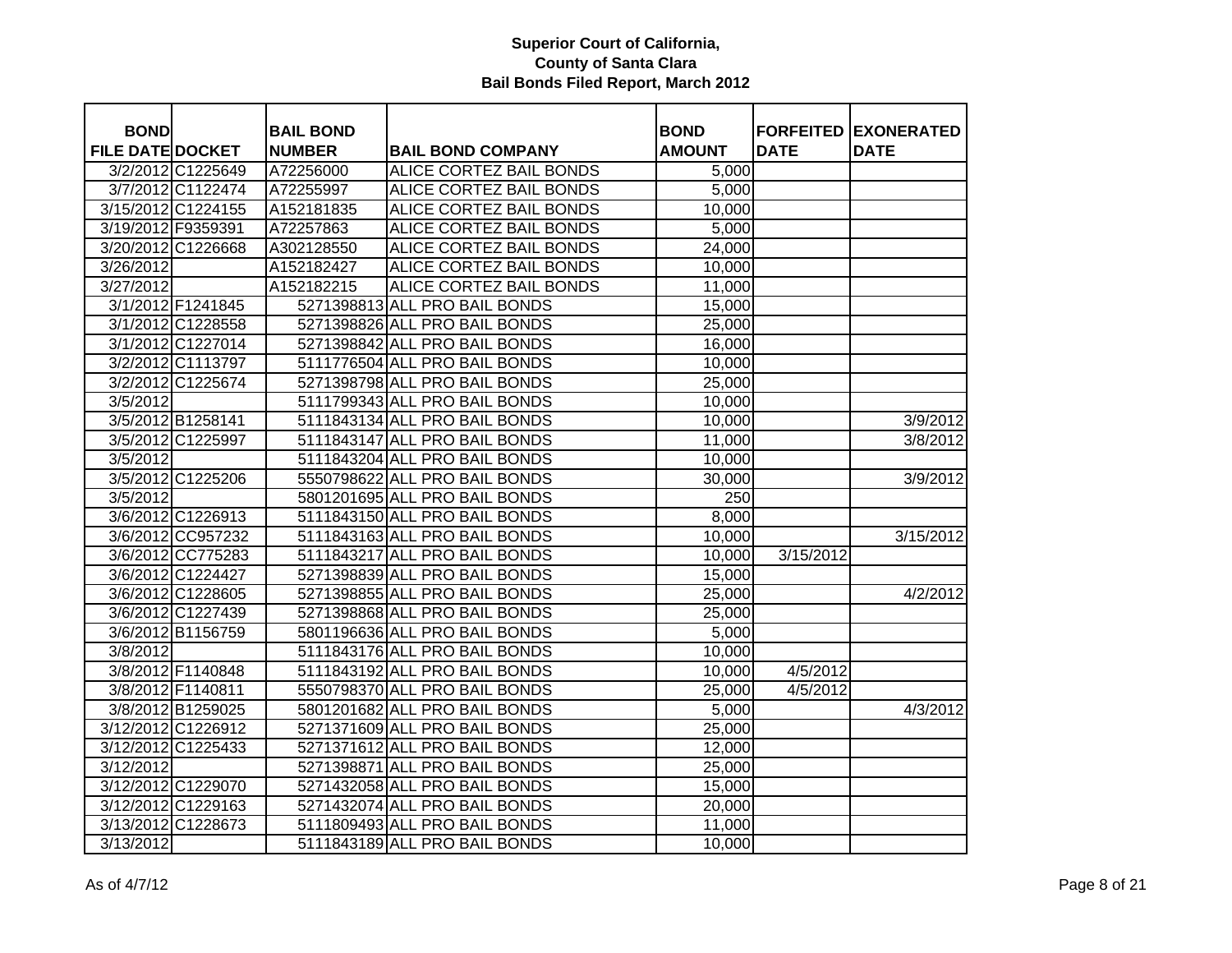| <b>BOND</b>             |                    | <b>BAIL BOND</b> |                               | <b>BOND</b>      |             | <b>FORFEITED EXONERATED</b> |
|-------------------------|--------------------|------------------|-------------------------------|------------------|-------------|-----------------------------|
| <b>FILE DATE DOCKET</b> |                    | <b>NUMBER</b>    | <b>BAIL BOND COMPANY</b>      | <b>AMOUNT</b>    | <b>DATE</b> | <b>DATE</b>                 |
|                         | 3/2/2012 C1225649  | A72256000        | ALICE CORTEZ BAIL BONDS       | 5,000            |             |                             |
|                         | 3/7/2012 C1122474  | A72255997        | ALICE CORTEZ BAIL BONDS       | 5,000            |             |                             |
|                         | 3/15/2012 C1224155 | A152181835       | ALICE CORTEZ BAIL BONDS       | 10,000           |             |                             |
| 3/19/2012 F9359391      |                    | A72257863        | ALICE CORTEZ BAIL BONDS       | 5,000            |             |                             |
|                         | 3/20/2012 C1226668 | A302128550       | ALICE CORTEZ BAIL BONDS       | 24,000           |             |                             |
| 3/26/2012               |                    | A152182427       | ALICE CORTEZ BAIL BONDS       | 10,000           |             |                             |
| 3/27/2012               |                    | A152182215       | ALICE CORTEZ BAIL BONDS       | 11,000           |             |                             |
|                         | 3/1/2012 F1241845  |                  | 5271398813 ALL PRO BAIL BONDS | 15,000           |             |                             |
|                         | 3/1/2012 C1228558  |                  | 5271398826 ALL PRO BAIL BONDS | 25,000           |             |                             |
|                         | 3/1/2012 C1227014  |                  | 5271398842 ALL PRO BAIL BONDS | 16,000           |             |                             |
|                         | 3/2/2012 C1113797  |                  | 5111776504 ALL PRO BAIL BONDS | 10,000           |             |                             |
|                         | 3/2/2012 C1225674  |                  | 5271398798 ALL PRO BAIL BONDS | 25,000           |             |                             |
| 3/5/2012                |                    |                  | 5111799343 ALL PRO BAIL BONDS | 10,000           |             |                             |
|                         | 3/5/2012 B1258141  |                  | 5111843134 ALL PRO BAIL BONDS | 10,000           |             | 3/9/2012                    |
|                         | 3/5/2012 C1225997  |                  | 5111843147 ALL PRO BAIL BONDS | 11,000           |             | 3/8/2012                    |
| 3/5/2012                |                    |                  | 5111843204 ALL PRO BAIL BONDS | 10,000           |             |                             |
|                         | 3/5/2012 C1225206  |                  | 5550798622 ALL PRO BAIL BONDS | 30,000           |             | 3/9/2012                    |
| 3/5/2012                |                    |                  | 5801201695 ALL PRO BAIL BONDS | $\overline{250}$ |             |                             |
|                         | 3/6/2012 C1226913  |                  | 5111843150 ALL PRO BAIL BONDS | 8,000            |             |                             |
|                         | 3/6/2012 CC957232  |                  | 5111843163 ALL PRO BAIL BONDS | 10,000           |             | 3/15/2012                   |
|                         | 3/6/2012 CC775283  |                  | 5111843217 ALL PRO BAIL BONDS | 10,000           | 3/15/2012   |                             |
|                         | 3/6/2012 C1224427  |                  | 5271398839 ALL PRO BAIL BONDS | 15,000           |             |                             |
|                         | 3/6/2012 C1228605  |                  | 5271398855 ALL PRO BAIL BONDS | 25,000           |             | 4/2/2012                    |
|                         | 3/6/2012 C1227439  |                  | 5271398868 ALL PRO BAIL BONDS | 25,000           |             |                             |
|                         | 3/6/2012 B1156759  |                  | 5801196636 ALL PRO BAIL BONDS | 5,000            |             |                             |
| 3/8/2012                |                    |                  | 5111843176 ALL PRO BAIL BONDS | 10,000           |             |                             |
|                         | 3/8/2012 F1140848  |                  | 5111843192 ALL PRO BAIL BONDS | 10,000           | 4/5/2012    |                             |
|                         | 3/8/2012 F1140811  |                  | 5550798370 ALL PRO BAIL BONDS | 25,000           | 4/5/2012    |                             |
|                         | 3/8/2012 B1259025  |                  | 5801201682 ALL PRO BAIL BONDS | 5,000            |             | 4/3/2012                    |
|                         | 3/12/2012 C1226912 |                  | 5271371609 ALL PRO BAIL BONDS | 25,000           |             |                             |
|                         | 3/12/2012 C1225433 |                  | 5271371612 ALL PRO BAIL BONDS | 12,000           |             |                             |
| 3/12/2012               |                    |                  | 5271398871 ALL PRO BAIL BONDS | 25,000           |             |                             |
|                         | 3/12/2012 C1229070 |                  | 5271432058 ALL PRO BAIL BONDS | 15,000           |             |                             |
|                         | 3/12/2012 C1229163 |                  | 5271432074 ALL PRO BAIL BONDS | 20,000           |             |                             |
|                         | 3/13/2012 C1228673 |                  | 5111809493 ALL PRO BAIL BONDS | 11,000           |             |                             |
| 3/13/2012               |                    |                  | 5111843189 ALL PRO BAIL BONDS | 10,000           |             |                             |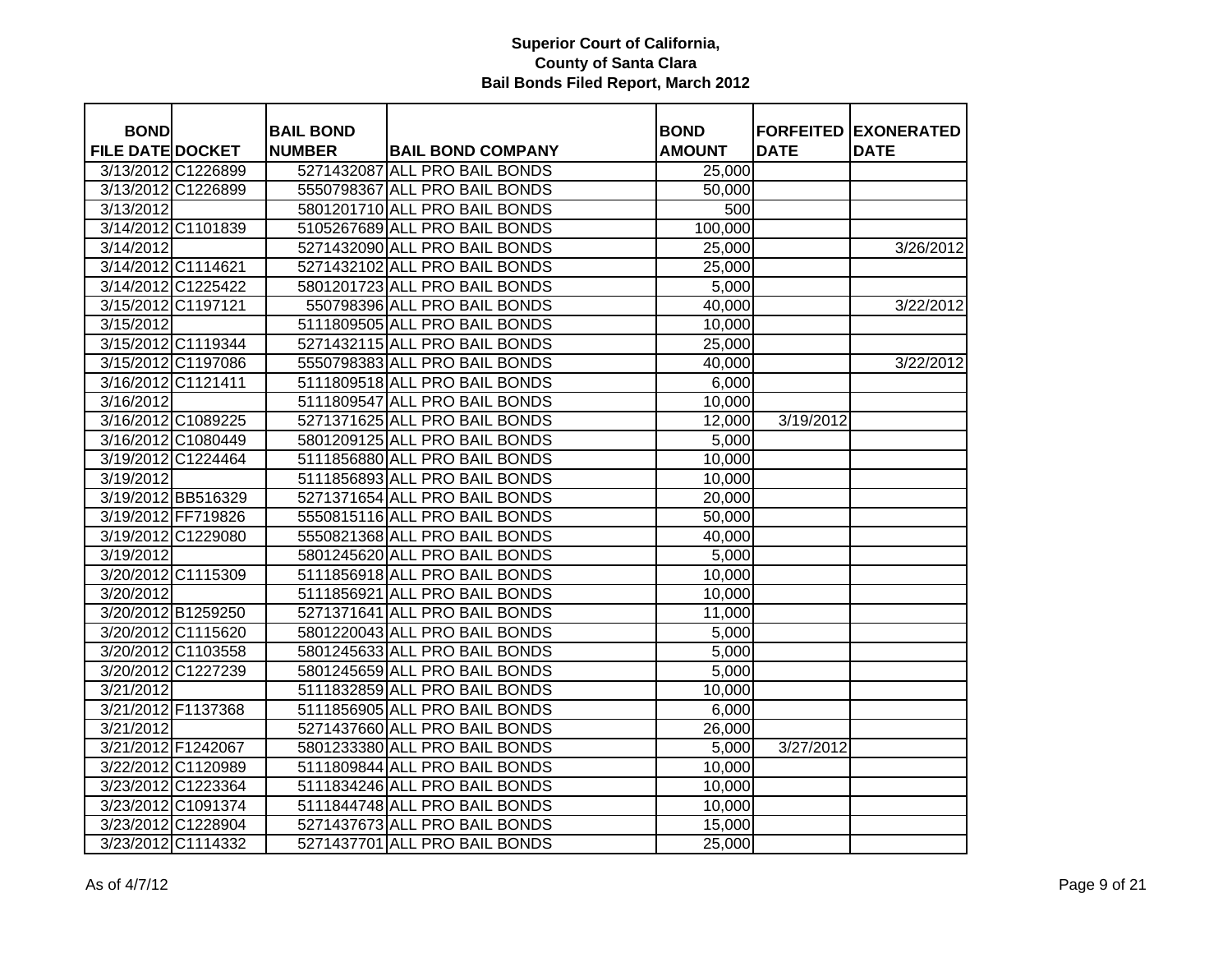| <b>BOND</b>             |                    | <b>BAIL BOND</b> |                               | <b>BOND</b>   |             | <b>FORFEITED EXONERATED</b> |
|-------------------------|--------------------|------------------|-------------------------------|---------------|-------------|-----------------------------|
| <b>FILE DATE DOCKET</b> |                    | <b>NUMBER</b>    | <b>BAIL BOND COMPANY</b>      | <b>AMOUNT</b> | <b>DATE</b> | <b>DATE</b>                 |
|                         | 3/13/2012 C1226899 |                  | 5271432087 ALL PRO BAIL BONDS | 25,000        |             |                             |
|                         | 3/13/2012 C1226899 |                  | 5550798367 ALL PRO BAIL BONDS | 50,000        |             |                             |
| 3/13/2012               |                    |                  | 5801201710 ALL PRO BAIL BONDS | 500           |             |                             |
| 3/14/2012 C1101839      |                    |                  | 5105267689 ALL PRO BAIL BONDS | 100,000       |             |                             |
| 3/14/2012               |                    |                  | 5271432090 ALL PRO BAIL BONDS | 25,000        |             | 3/26/2012                   |
| 3/14/2012 C1114621      |                    |                  | 5271432102 ALL PRO BAIL BONDS | 25,000        |             |                             |
|                         | 3/14/2012 C1225422 |                  | 5801201723 ALL PRO BAIL BONDS | 5,000         |             |                             |
| 3/15/2012 C1197121      |                    |                  | 550798396 ALL PRO BAIL BONDS  | 40,000        |             | 3/22/2012                   |
| 3/15/2012               |                    |                  | 5111809505 ALL PRO BAIL BONDS | 10,000        |             |                             |
|                         | 3/15/2012 C1119344 |                  | 5271432115 ALL PRO BAIL BONDS | 25,000        |             |                             |
|                         | 3/15/2012 C1197086 |                  | 5550798383 ALL PRO BAIL BONDS | 40,000        |             | 3/22/2012                   |
| 3/16/2012 C1121411      |                    |                  | 5111809518 ALL PRO BAIL BONDS | 6,000         |             |                             |
| 3/16/2012               |                    |                  | 5111809547 ALL PRO BAIL BONDS | 10,000        |             |                             |
|                         | 3/16/2012 C1089225 |                  | 5271371625 ALL PRO BAIL BONDS | 12,000        | 3/19/2012   |                             |
|                         | 3/16/2012 C1080449 |                  | 5801209125 ALL PRO BAIL BONDS | 5,000         |             |                             |
|                         | 3/19/2012 C1224464 |                  | 5111856880 ALL PRO BAIL BONDS | 10,000        |             |                             |
| 3/19/2012               |                    |                  | 5111856893 ALL PRO BAIL BONDS | 10,000        |             |                             |
|                         | 3/19/2012 BB516329 |                  | 5271371654 ALL PRO BAIL BONDS | 20,000        |             |                             |
|                         | 3/19/2012 FF719826 |                  | 5550815116 ALL PRO BAIL BONDS | 50,000        |             |                             |
|                         | 3/19/2012 C1229080 |                  | 5550821368 ALL PRO BAIL BONDS | 40,000        |             |                             |
| 3/19/2012               |                    |                  | 5801245620 ALL PRO BAIL BONDS | 5,000         |             |                             |
|                         | 3/20/2012 C1115309 |                  | 5111856918 ALL PRO BAIL BONDS | 10,000        |             |                             |
| 3/20/2012               |                    |                  | 5111856921 ALL PRO BAIL BONDS | 10,000        |             |                             |
| 3/20/2012 B1259250      |                    |                  | 5271371641 ALL PRO BAIL BONDS | 11,000        |             |                             |
|                         | 3/20/2012 C1115620 |                  | 5801220043 ALL PRO BAIL BONDS | 5,000         |             |                             |
|                         | 3/20/2012 C1103558 |                  | 5801245633 ALL PRO BAIL BONDS | 5,000         |             |                             |
|                         | 3/20/2012 C1227239 |                  | 5801245659 ALL PRO BAIL BONDS | 5,000         |             |                             |
| 3/21/2012               |                    |                  | 5111832859 ALL PRO BAIL BONDS | 10,000        |             |                             |
| 3/21/2012 F1137368      |                    |                  | 5111856905 ALL PRO BAIL BONDS | 6,000         |             |                             |
| 3/21/2012               |                    |                  | 5271437660 ALL PRO BAIL BONDS | 26,000        |             |                             |
| 3/21/2012 F1242067      |                    |                  | 5801233380 ALL PRO BAIL BONDS | 5,000         | 3/27/2012   |                             |
|                         | 3/22/2012 C1120989 |                  | 5111809844 ALL PRO BAIL BONDS | 10,000        |             |                             |
|                         | 3/23/2012 C1223364 |                  | 5111834246 ALL PRO BAIL BONDS | 10,000        |             |                             |
|                         | 3/23/2012 C1091374 |                  | 5111844748 ALL PRO BAIL BONDS | 10,000        |             |                             |
|                         | 3/23/2012 C1228904 |                  | 5271437673 ALL PRO BAIL BONDS | 15,000        |             |                             |
|                         | 3/23/2012 C1114332 |                  | 5271437701 ALL PRO BAIL BONDS | 25,000        |             |                             |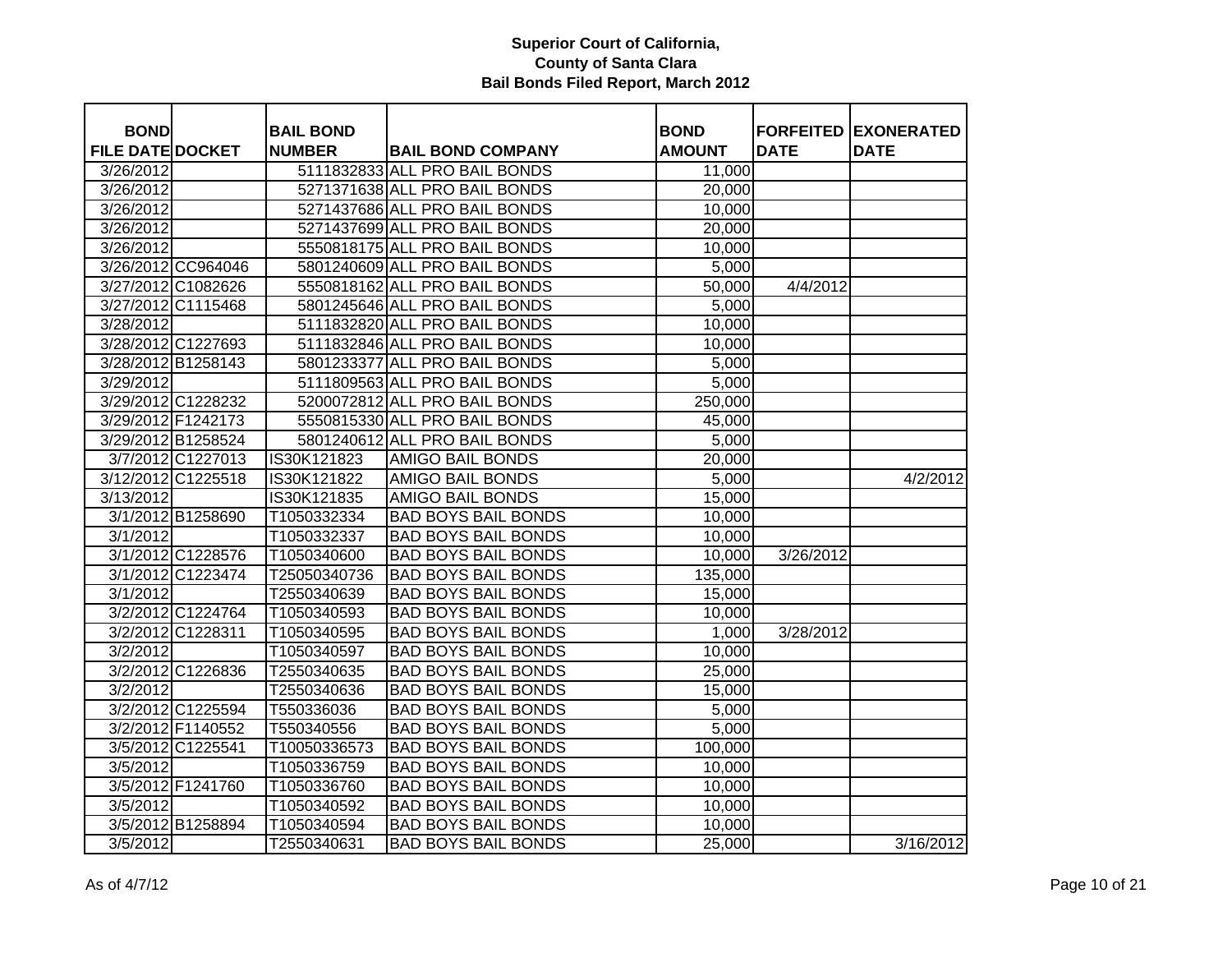| <b>BOND</b>             |                    | <b>BAIL BOND</b> |                               | <b>BOND</b>   |             | <b>FORFEITED EXONERATED</b> |
|-------------------------|--------------------|------------------|-------------------------------|---------------|-------------|-----------------------------|
| <b>FILE DATE DOCKET</b> |                    | <b>NUMBER</b>    | <b>BAIL BOND COMPANY</b>      | <b>AMOUNT</b> | <b>DATE</b> | <b>DATE</b>                 |
| 3/26/2012               |                    |                  | 5111832833 ALL PRO BAIL BONDS | 11,000        |             |                             |
| 3/26/2012               |                    |                  | 5271371638 ALL PRO BAIL BONDS | 20,000        |             |                             |
| 3/26/2012               |                    |                  | 5271437686 ALL PRO BAIL BONDS | 10,000        |             |                             |
| 3/26/2012               |                    |                  | 5271437699 ALL PRO BAIL BONDS | 20,000        |             |                             |
| 3/26/2012               |                    |                  | 5550818175 ALL PRO BAIL BONDS | 10,000        |             |                             |
|                         | 3/26/2012 CC964046 |                  | 5801240609 ALL PRO BAIL BONDS | 5,000         |             |                             |
| 3/27/2012 C1082626      |                    |                  | 5550818162 ALL PRO BAIL BONDS | 50,000        | 4/4/2012    |                             |
| 3/27/2012 C1115468      |                    |                  | 5801245646 ALL PRO BAIL BONDS | 5,000         |             |                             |
| 3/28/2012               |                    |                  | 5111832820 ALL PRO BAIL BONDS | 10,000        |             |                             |
| 3/28/2012 C1227693      |                    |                  | 5111832846 ALL PRO BAIL BONDS | 10,000        |             |                             |
| 3/28/2012 B1258143      |                    |                  | 5801233377 ALL PRO BAIL BONDS | 5,000         |             |                             |
| 3/29/2012               |                    |                  | 5111809563 ALL PRO BAIL BONDS | 5,000         |             |                             |
| 3/29/2012 C1228232      |                    |                  | 5200072812 ALL PRO BAIL BONDS | 250,000       |             |                             |
| 3/29/2012 F1242173      |                    |                  | 5550815330 ALL PRO BAIL BONDS | 45,000        |             |                             |
|                         | 3/29/2012 B1258524 |                  | 5801240612 ALL PRO BAIL BONDS | 5,000         |             |                             |
|                         | 3/7/2012 C1227013  | IS30K121823      | <b>AMIGO BAIL BONDS</b>       | 20,000        |             |                             |
| 3/12/2012 C1225518      |                    | IS30K121822      | AMIGO BAIL BONDS              | 5,000         |             | 4/2/2012                    |
| 3/13/2012               |                    | IS30K121835      | <b>AMIGO BAIL BONDS</b>       | 15,000        |             |                             |
|                         | 3/1/2012 B1258690  | T1050332334      | <b>BAD BOYS BAIL BONDS</b>    | 10,000        |             |                             |
| 3/1/2012                |                    | T1050332337      | <b>BAD BOYS BAIL BONDS</b>    | 10,000        |             |                             |
|                         | 3/1/2012 C1228576  | T1050340600      | <b>BAD BOYS BAIL BONDS</b>    | 10,000        | 3/26/2012   |                             |
|                         | 3/1/2012 C1223474  | T25050340736     | <b>BAD BOYS BAIL BONDS</b>    | 135,000       |             |                             |
| 3/1/2012                |                    | T2550340639      | <b>BAD BOYS BAIL BONDS</b>    | 15,000        |             |                             |
|                         | 3/2/2012 C1224764  | T1050340593      | <b>BAD BOYS BAIL BONDS</b>    | 10,000        |             |                             |
|                         | 3/2/2012 C1228311  | T1050340595      | <b>BAD BOYS BAIL BONDS</b>    | 1,000         | 3/28/2012   |                             |
| 3/2/2012                |                    | T1050340597      | <b>BAD BOYS BAIL BONDS</b>    | 10,000        |             |                             |
|                         | 3/2/2012 C1226836  | T2550340635      | <b>BAD BOYS BAIL BONDS</b>    | 25,000        |             |                             |
| 3/2/2012                |                    | T2550340636      | <b>BAD BOYS BAIL BONDS</b>    | 15,000        |             |                             |
|                         | 3/2/2012 C1225594  | T550336036       | <b>BAD BOYS BAIL BONDS</b>    | 5,000         |             |                             |
|                         | 3/2/2012 F1140552  | T550340556       | <b>BAD BOYS BAIL BONDS</b>    | 5,000         |             |                             |
|                         | 3/5/2012 C1225541  | T10050336573     | <b>BAD BOYS BAIL BONDS</b>    | 100,000       |             |                             |
| 3/5/2012                |                    | T1050336759      | <b>BAD BOYS BAIL BONDS</b>    | 10,000        |             |                             |
|                         | 3/5/2012 F1241760  | T1050336760      | <b>BAD BOYS BAIL BONDS</b>    | 10,000        |             |                             |
| 3/5/2012                |                    | T1050340592      | <b>BAD BOYS BAIL BONDS</b>    | 10,000        |             |                             |
|                         | 3/5/2012 B1258894  | T1050340594      | <b>BAD BOYS BAIL BONDS</b>    | 10,000        |             |                             |
| 3/5/2012                |                    | T2550340631      | <b>BAD BOYS BAIL BONDS</b>    | 25,000        |             | 3/16/2012                   |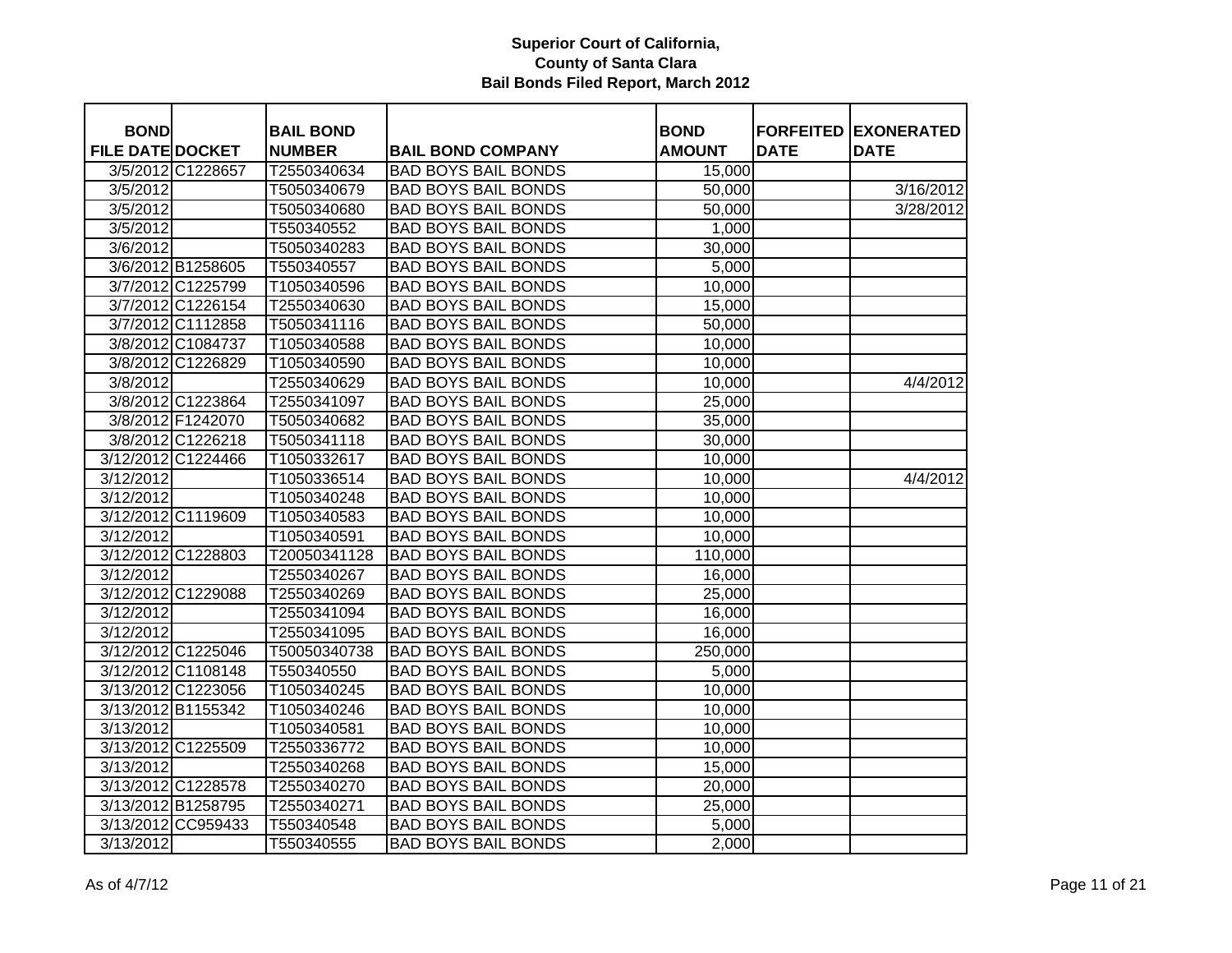| <b>BOND</b>             |                    | <b>BAIL BOND</b> |                            | <b>BOND</b>   |             | <b>FORFEITED EXONERATED</b> |
|-------------------------|--------------------|------------------|----------------------------|---------------|-------------|-----------------------------|
| <b>FILE DATE DOCKET</b> |                    | <b>NUMBER</b>    | <b>BAIL BOND COMPANY</b>   | <b>AMOUNT</b> | <b>DATE</b> | <b>DATE</b>                 |
|                         | 3/5/2012 C1228657  | T2550340634      | <b>BAD BOYS BAIL BONDS</b> | 15,000        |             |                             |
| 3/5/2012                |                    | T5050340679      | <b>BAD BOYS BAIL BONDS</b> | 50,000        |             | 3/16/2012                   |
| 3/5/2012                |                    | T5050340680      | <b>BAD BOYS BAIL BONDS</b> | 50,000        |             | 3/28/2012                   |
| 3/5/2012                |                    | T550340552       | <b>BAD BOYS BAIL BONDS</b> | 1,000         |             |                             |
| 3/6/2012                |                    | T5050340283      | <b>BAD BOYS BAIL BONDS</b> | 30,000        |             |                             |
|                         | 3/6/2012 B1258605  | T550340557       | <b>BAD BOYS BAIL BONDS</b> | 5,000         |             |                             |
|                         | 3/7/2012 C1225799  | T1050340596      | <b>BAD BOYS BAIL BONDS</b> | 10,000        |             |                             |
|                         | 3/7/2012 C1226154  | T2550340630      | <b>BAD BOYS BAIL BONDS</b> | 15,000        |             |                             |
|                         | 3/7/2012 C1112858  | T5050341116      | <b>BAD BOYS BAIL BONDS</b> | 50,000        |             |                             |
|                         | 3/8/2012 C1084737  | T1050340588      | <b>BAD BOYS BAIL BONDS</b> | 10,000        |             |                             |
|                         | 3/8/2012 C1226829  | T1050340590      | <b>BAD BOYS BAIL BONDS</b> | 10,000        |             |                             |
| 3/8/2012                |                    | T2550340629      | <b>BAD BOYS BAIL BONDS</b> | 10,000        |             | 4/4/2012                    |
|                         | 3/8/2012 C1223864  | T2550341097      | <b>BAD BOYS BAIL BONDS</b> | 25,000        |             |                             |
|                         | 3/8/2012 F1242070  | T5050340682      | <b>BAD BOYS BAIL BONDS</b> | 35,000        |             |                             |
|                         | 3/8/2012 C1226218  | T5050341118      | <b>BAD BOYS BAIL BONDS</b> | 30,000        |             |                             |
|                         | 3/12/2012 C1224466 | T1050332617      | <b>BAD BOYS BAIL BONDS</b> | 10,000        |             |                             |
| 3/12/2012               |                    | T1050336514      | <b>BAD BOYS BAIL BONDS</b> | 10,000        |             | 4/4/2012                    |
| 3/12/2012               |                    | T1050340248      | <b>BAD BOYS BAIL BONDS</b> | 10,000        |             |                             |
|                         | 3/12/2012 C1119609 | T1050340583      | <b>BAD BOYS BAIL BONDS</b> | 10,000        |             |                             |
| 3/12/2012               |                    | T1050340591      | <b>BAD BOYS BAIL BONDS</b> | 10,000        |             |                             |
|                         | 3/12/2012 C1228803 | T20050341128     | <b>BAD BOYS BAIL BONDS</b> | 110,000       |             |                             |
| 3/12/2012               |                    | T2550340267      | <b>BAD BOYS BAIL BONDS</b> | 16,000        |             |                             |
|                         | 3/12/2012 C1229088 | T2550340269      | <b>BAD BOYS BAIL BONDS</b> | 25,000        |             |                             |
| 3/12/2012               |                    | T2550341094      | <b>BAD BOYS BAIL BONDS</b> | 16,000        |             |                             |
| 3/12/2012               |                    | T2550341095      | <b>BAD BOYS BAIL BONDS</b> | 16,000        |             |                             |
|                         | 3/12/2012 C1225046 | T50050340738     | <b>BAD BOYS BAIL BONDS</b> | 250,000       |             |                             |
|                         | 3/12/2012 C1108148 | T550340550       | <b>BAD BOYS BAIL BONDS</b> | 5,000         |             |                             |
|                         | 3/13/2012 C1223056 | T1050340245      | <b>BAD BOYS BAIL BONDS</b> | 10,000        |             |                             |
|                         | 3/13/2012 B1155342 | T1050340246      | <b>BAD BOYS BAIL BONDS</b> | 10,000        |             |                             |
| 3/13/2012               |                    | T1050340581      | <b>BAD BOYS BAIL BONDS</b> | 10,000        |             |                             |
|                         | 3/13/2012 C1225509 | T2550336772      | <b>BAD BOYS BAIL BONDS</b> | 10,000        |             |                             |
| 3/13/2012               |                    | T2550340268      | <b>BAD BOYS BAIL BONDS</b> | 15,000        |             |                             |
|                         | 3/13/2012 C1228578 | T2550340270      | <b>BAD BOYS BAIL BONDS</b> | 20,000        |             |                             |
|                         | 3/13/2012 B1258795 | T2550340271      | <b>BAD BOYS BAIL BONDS</b> | 25,000        |             |                             |
|                         | 3/13/2012 CC959433 | T550340548       | <b>BAD BOYS BAIL BONDS</b> | 5,000         |             |                             |
| 3/13/2012               |                    | T550340555       | <b>BAD BOYS BAIL BONDS</b> | 2,000         |             |                             |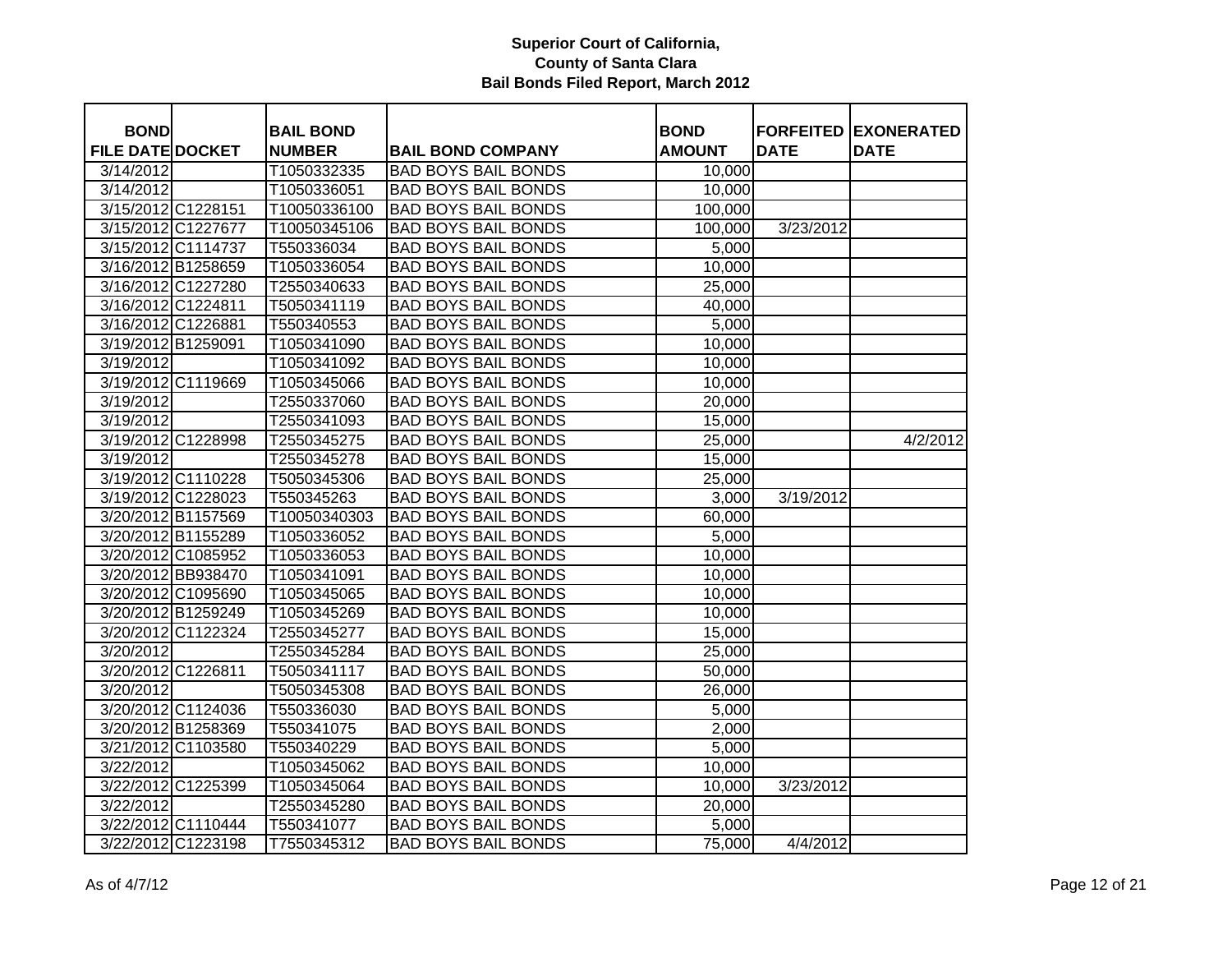| <b>BOND</b>             |                    | <b>BAIL BOND</b> |                            | <b>BOND</b>   |             | <b>FORFEITED EXONERATED</b> |
|-------------------------|--------------------|------------------|----------------------------|---------------|-------------|-----------------------------|
| <b>FILE DATE DOCKET</b> |                    | <b>NUMBER</b>    | <b>BAIL BOND COMPANY</b>   | <b>AMOUNT</b> | <b>DATE</b> | <b>DATE</b>                 |
| 3/14/2012               |                    | T1050332335      | <b>BAD BOYS BAIL BONDS</b> | 10,000        |             |                             |
| 3/14/2012               |                    | T1050336051      | <b>BAD BOYS BAIL BONDS</b> | 10,000        |             |                             |
| 3/15/2012 C1228151      |                    | T10050336100     | <b>BAD BOYS BAIL BONDS</b> | 100,000       |             |                             |
| 3/15/2012 C1227677      |                    | T10050345106     | <b>BAD BOYS BAIL BONDS</b> | 100,000       | 3/23/2012   |                             |
| 3/15/2012 C1114737      |                    | T550336034       | <b>BAD BOYS BAIL BONDS</b> | 5,000         |             |                             |
| 3/16/2012 B1258659      |                    | T1050336054      | <b>BAD BOYS BAIL BONDS</b> | 10,000        |             |                             |
|                         | 3/16/2012 C1227280 | T2550340633      | <b>BAD BOYS BAIL BONDS</b> | 25,000        |             |                             |
| 3/16/2012 C1224811      |                    | T5050341119      | <b>BAD BOYS BAIL BONDS</b> | 40,000        |             |                             |
| 3/16/2012 C1226881      |                    | T550340553       | <b>BAD BOYS BAIL BONDS</b> | 5,000         |             |                             |
| 3/19/2012 B1259091      |                    | T1050341090      | <b>BAD BOYS BAIL BONDS</b> | 10,000        |             |                             |
| 3/19/2012               |                    | T1050341092      | <b>BAD BOYS BAIL BONDS</b> | 10,000        |             |                             |
|                         | 3/19/2012 C1119669 | T1050345066      | <b>BAD BOYS BAIL BONDS</b> | 10,000        |             |                             |
| 3/19/2012               |                    | T2550337060      | <b>BAD BOYS BAIL BONDS</b> | 20,000        |             |                             |
| 3/19/2012               |                    | T2550341093      | <b>BAD BOYS BAIL BONDS</b> | 15,000        |             |                             |
|                         | 3/19/2012 C1228998 | T2550345275      | <b>BAD BOYS BAIL BONDS</b> | 25,000        |             | 4/2/2012                    |
| 3/19/2012               |                    | T2550345278      | <b>BAD BOYS BAIL BONDS</b> | 15,000        |             |                             |
|                         | 3/19/2012 C1110228 | T5050345306      | <b>BAD BOYS BAIL BONDS</b> | 25,000        |             |                             |
|                         | 3/19/2012 C1228023 | T550345263       | <b>BAD BOYS BAIL BONDS</b> | 3,000         | 3/19/2012   |                             |
| 3/20/2012 B1157569      |                    | T10050340303     | <b>BAD BOYS BAIL BONDS</b> | 60,000        |             |                             |
| 3/20/2012 B1155289      |                    | T1050336052      | <b>BAD BOYS BAIL BONDS</b> | 5,000         |             |                             |
|                         | 3/20/2012 C1085952 | T1050336053      | <b>BAD BOYS BAIL BONDS</b> | 10,000        |             |                             |
|                         | 3/20/2012 BB938470 | T1050341091      | <b>BAD BOYS BAIL BONDS</b> | 10,000        |             |                             |
|                         | 3/20/2012 C1095690 | T1050345065      | <b>BAD BOYS BAIL BONDS</b> | 10,000        |             |                             |
|                         | 3/20/2012 B1259249 | T1050345269      | <b>BAD BOYS BAIL BONDS</b> | 10,000        |             |                             |
|                         | 3/20/2012 C1122324 | T2550345277      | <b>BAD BOYS BAIL BONDS</b> | 15,000        |             |                             |
| 3/20/2012               |                    | T2550345284      | <b>BAD BOYS BAIL BONDS</b> | 25,000        |             |                             |
| 3/20/2012 C1226811      |                    | T5050341117      | <b>BAD BOYS BAIL BONDS</b> | 50,000        |             |                             |
| 3/20/2012               |                    | T5050345308      | <b>BAD BOYS BAIL BONDS</b> | 26,000        |             |                             |
|                         | 3/20/2012 C1124036 | T550336030       | <b>BAD BOYS BAIL BONDS</b> | 5,000         |             |                             |
| 3/20/2012 B1258369      |                    | T550341075       | <b>BAD BOYS BAIL BONDS</b> | 2,000         |             |                             |
|                         | 3/21/2012 C1103580 | T550340229       | <b>BAD BOYS BAIL BONDS</b> | 5,000         |             |                             |
| 3/22/2012               |                    | T1050345062      | <b>BAD BOYS BAIL BONDS</b> | 10,000        |             |                             |
| 3/22/2012 C1225399      |                    | T1050345064      | <b>BAD BOYS BAIL BONDS</b> | 10,000        | 3/23/2012   |                             |
| 3/22/2012               |                    | T2550345280      | <b>BAD BOYS BAIL BONDS</b> | 20,000        |             |                             |
|                         | 3/22/2012 C1110444 | T550341077       | <b>BAD BOYS BAIL BONDS</b> | 5,000         |             |                             |
|                         | 3/22/2012 C1223198 | T7550345312      | <b>BAD BOYS BAIL BONDS</b> | 75,000        | 4/4/2012    |                             |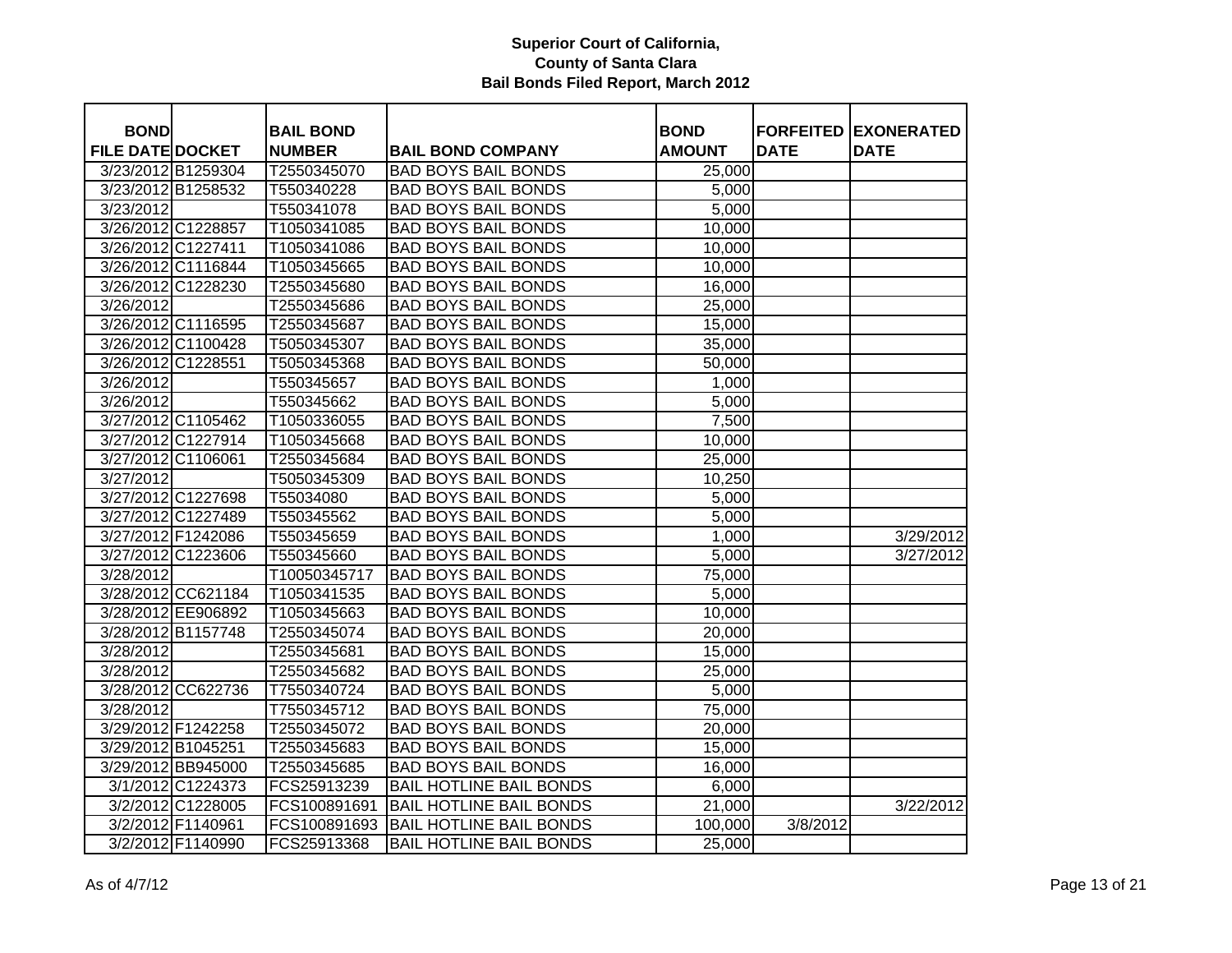| <b>BOND</b>             |                    | <b>BAIL BOND</b> |                                | <b>BOND</b>   |             | <b>FORFEITED EXONERATED</b> |
|-------------------------|--------------------|------------------|--------------------------------|---------------|-------------|-----------------------------|
| <b>FILE DATE DOCKET</b> |                    | <b>NUMBER</b>    | <b>BAIL BOND COMPANY</b>       | <b>AMOUNT</b> | <b>DATE</b> | <b>DATE</b>                 |
|                         | 3/23/2012 B1259304 | T2550345070      | <b>BAD BOYS BAIL BONDS</b>     | 25,000        |             |                             |
|                         | 3/23/2012 B1258532 | T550340228       | <b>BAD BOYS BAIL BONDS</b>     | 5,000         |             |                             |
| 3/23/2012               |                    | T550341078       | <b>BAD BOYS BAIL BONDS</b>     | 5,000         |             |                             |
| 3/26/2012 C1228857      |                    | T1050341085      | <b>BAD BOYS BAIL BONDS</b>     | 10,000        |             |                             |
| 3/26/2012 C1227411      |                    | T1050341086      | <b>BAD BOYS BAIL BONDS</b>     | 10,000        |             |                             |
|                         | 3/26/2012 C1116844 | T1050345665      | <b>BAD BOYS BAIL BONDS</b>     | 10,000        |             |                             |
|                         | 3/26/2012 C1228230 | T2550345680      | <b>BAD BOYS BAIL BONDS</b>     | 16,000        |             |                             |
| 3/26/2012               |                    | T2550345686      | <b>BAD BOYS BAIL BONDS</b>     | 25,000        |             |                             |
|                         | 3/26/2012 C1116595 | T2550345687      | <b>BAD BOYS BAIL BONDS</b>     | 15,000        |             |                             |
|                         | 3/26/2012 C1100428 | T5050345307      | <b>BAD BOYS BAIL BONDS</b>     | 35,000        |             |                             |
| 3/26/2012 C1228551      |                    | T5050345368      | <b>BAD BOYS BAIL BONDS</b>     | 50,000        |             |                             |
| 3/26/2012               |                    | T550345657       | <b>BAD BOYS BAIL BONDS</b>     | 1,000         |             |                             |
| 3/26/2012               |                    | T550345662       | <b>BAD BOYS BAIL BONDS</b>     | 5,000         |             |                             |
|                         | 3/27/2012 C1105462 | T1050336055      | <b>BAD BOYS BAIL BONDS</b>     | 7,500         |             |                             |
|                         | 3/27/2012 C1227914 | T1050345668      | <b>BAD BOYS BAIL BONDS</b>     | 10,000        |             |                             |
| 3/27/2012 C1106061      |                    | T2550345684      | <b>BAD BOYS BAIL BONDS</b>     | 25,000        |             |                             |
| 3/27/2012               |                    | T5050345309      | <b>BAD BOYS BAIL BONDS</b>     | 10,250        |             |                             |
|                         | 3/27/2012 C1227698 | T55034080        | <b>BAD BOYS BAIL BONDS</b>     | 5,000         |             |                             |
|                         | 3/27/2012 C1227489 | T550345562       | <b>BAD BOYS BAIL BONDS</b>     | 5,000         |             |                             |
| 3/27/2012 F1242086      |                    | T550345659       | <b>BAD BOYS BAIL BONDS</b>     | 1,000         |             | 3/29/2012                   |
|                         | 3/27/2012 C1223606 | T550345660       | <b>BAD BOYS BAIL BONDS</b>     | 5,000         |             | 3/27/2012                   |
| 3/28/2012               |                    | T10050345717     | <b>BAD BOYS BAIL BONDS</b>     | 75,000        |             |                             |
|                         | 3/28/2012 CC621184 | T1050341535      | <b>BAD BOYS BAIL BONDS</b>     | 5,000         |             |                             |
|                         | 3/28/2012 EE906892 | T1050345663      | <b>BAD BOYS BAIL BONDS</b>     | 10,000        |             |                             |
|                         | 3/28/2012 B1157748 | T2550345074      | <b>BAD BOYS BAIL BONDS</b>     | 20,000        |             |                             |
| 3/28/2012               |                    | T2550345681      | <b>BAD BOYS BAIL BONDS</b>     | 15,000        |             |                             |
| 3/28/2012               |                    | T2550345682      | <b>BAD BOYS BAIL BONDS</b>     | 25,000        |             |                             |
|                         | 3/28/2012 CC622736 | T7550340724      | <b>BAD BOYS BAIL BONDS</b>     | 5,000         |             |                             |
| 3/28/2012               |                    | T7550345712      | <b>BAD BOYS BAIL BONDS</b>     | 75,000        |             |                             |
| 3/29/2012 F1242258      |                    | T2550345072      | <b>BAD BOYS BAIL BONDS</b>     | 20,000        |             |                             |
| 3/29/2012 B1045251      |                    | T2550345683      | <b>BAD BOYS BAIL BONDS</b>     | 15,000        |             |                             |
|                         | 3/29/2012 BB945000 | T2550345685      | <b>BAD BOYS BAIL BONDS</b>     | 16,000        |             |                             |
|                         | 3/1/2012 C1224373  | FCS25913239      | <b>BAIL HOTLINE BAIL BONDS</b> | 6,000         |             |                             |
|                         | 3/2/2012 C1228005  | FCS100891691     | <b>BAIL HOTLINE BAIL BONDS</b> | 21,000        |             | 3/22/2012                   |
|                         | 3/2/2012 F1140961  | FCS100891693     | <b>BAIL HOTLINE BAIL BONDS</b> | 100,000       | 3/8/2012    |                             |
|                         | 3/2/2012 F1140990  | FCS25913368      | <b>BAIL HOTLINE BAIL BONDS</b> | 25,000        |             |                             |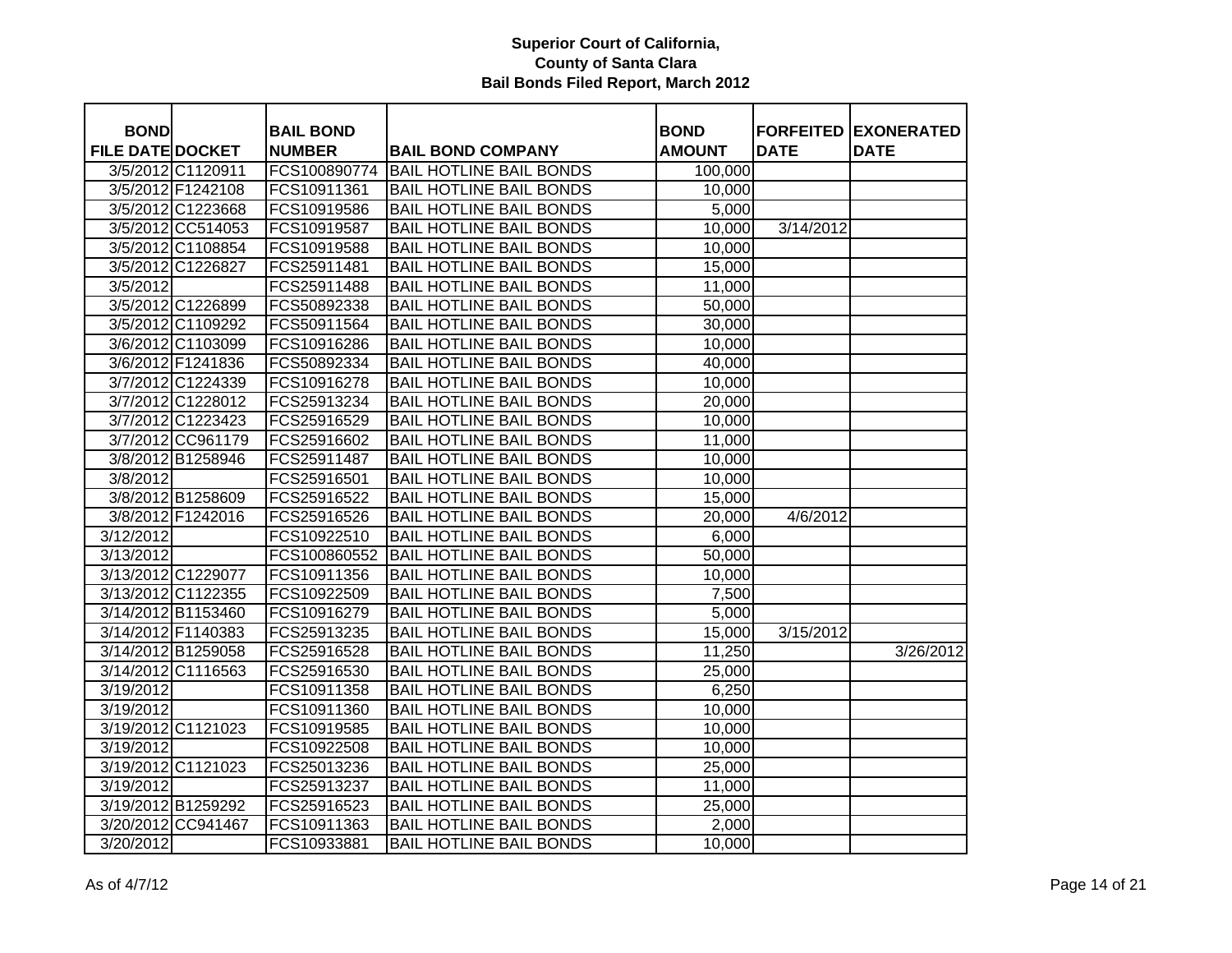| <b>BOND</b>             |                    | <b>BAIL BOND</b> |                                | <b>BOND</b>   |             | <b>FORFEITED EXONERATED</b> |
|-------------------------|--------------------|------------------|--------------------------------|---------------|-------------|-----------------------------|
| <b>FILE DATE DOCKET</b> |                    | <b>NUMBER</b>    | <b>BAIL BOND COMPANY</b>       | <b>AMOUNT</b> | <b>DATE</b> | <b>DATE</b>                 |
|                         | 3/5/2012 C1120911  | FCS100890774     | <b>BAIL HOTLINE BAIL BONDS</b> | 100,000       |             |                             |
|                         | 3/5/2012 F1242108  | FCS10911361      | <b>BAIL HOTLINE BAIL BONDS</b> | 10,000        |             |                             |
|                         | 3/5/2012 C1223668  | FCS10919586      | <b>BAIL HOTLINE BAIL BONDS</b> | 5,000         |             |                             |
|                         | 3/5/2012 CC514053  | FCS10919587      | <b>BAIL HOTLINE BAIL BONDS</b> | 10,000        | 3/14/2012   |                             |
|                         | 3/5/2012 C1108854  | FCS10919588      | <b>BAIL HOTLINE BAIL BONDS</b> | 10,000        |             |                             |
|                         | 3/5/2012 C1226827  | FCS25911481      | <b>BAIL HOTLINE BAIL BONDS</b> | 15,000        |             |                             |
| 3/5/2012                |                    | FCS25911488      | <b>BAIL HOTLINE BAIL BONDS</b> | 11,000        |             |                             |
|                         | 3/5/2012 C1226899  | FCS50892338      | <b>BAIL HOTLINE BAIL BONDS</b> | 50,000        |             |                             |
|                         | 3/5/2012 C1109292  | FCS50911564      | <b>BAIL HOTLINE BAIL BONDS</b> | 30,000        |             |                             |
|                         | 3/6/2012 C1103099  | FCS10916286      | <b>BAIL HOTLINE BAIL BONDS</b> | 10,000        |             |                             |
|                         | 3/6/2012 F1241836  | FCS50892334      | <b>BAIL HOTLINE BAIL BONDS</b> | 40,000        |             |                             |
|                         | 3/7/2012 C1224339  | FCS10916278      | <b>BAIL HOTLINE BAIL BONDS</b> | 10,000        |             |                             |
|                         | 3/7/2012 C1228012  | FCS25913234      | <b>BAIL HOTLINE BAIL BONDS</b> | 20,000        |             |                             |
|                         | 3/7/2012 C1223423  | FCS25916529      | <b>BAIL HOTLINE BAIL BONDS</b> | 10,000        |             |                             |
|                         | 3/7/2012 CC961179  | FCS25916602      | <b>BAIL HOTLINE BAIL BONDS</b> | 11,000        |             |                             |
|                         | 3/8/2012 B1258946  | FCS25911487      | <b>BAIL HOTLINE BAIL BONDS</b> | 10,000        |             |                             |
| 3/8/2012                |                    | FCS25916501      | <b>BAIL HOTLINE BAIL BONDS</b> | 10,000        |             |                             |
|                         | 3/8/2012 B1258609  | FCS25916522      | <b>BAIL HOTLINE BAIL BONDS</b> | 15,000        |             |                             |
|                         | 3/8/2012 F1242016  | FCS25916526      | <b>BAIL HOTLINE BAIL BONDS</b> | 20,000        | 4/6/2012    |                             |
| 3/12/2012               |                    | FCS10922510      | <b>BAIL HOTLINE BAIL BONDS</b> | 6,000         |             |                             |
| 3/13/2012               |                    | FCS100860552     | <b>BAIL HOTLINE BAIL BONDS</b> | 50,000        |             |                             |
|                         | 3/13/2012 C1229077 | FCS10911356      | <b>BAIL HOTLINE BAIL BONDS</b> | 10,000        |             |                             |
|                         | 3/13/2012 C1122355 | FCS10922509      | <b>BAIL HOTLINE BAIL BONDS</b> | 7,500         |             |                             |
|                         | 3/14/2012 B1153460 | FCS10916279      | <b>BAIL HOTLINE BAIL BONDS</b> | 5,000         |             |                             |
| 3/14/2012 F1140383      |                    | FCS25913235      | <b>BAIL HOTLINE BAIL BONDS</b> | 15,000        | 3/15/2012   |                             |
|                         | 3/14/2012 B1259058 | FCS25916528      | <b>BAIL HOTLINE BAIL BONDS</b> | 11,250        |             | 3/26/2012                   |
|                         | 3/14/2012 C1116563 | FCS25916530      | <b>BAIL HOTLINE BAIL BONDS</b> | 25,000        |             |                             |
| 3/19/2012               |                    | FCS10911358      | <b>BAIL HOTLINE BAIL BONDS</b> | 6,250         |             |                             |
| 3/19/2012               |                    | FCS10911360      | <b>BAIL HOTLINE BAIL BONDS</b> | 10,000        |             |                             |
|                         | 3/19/2012 C1121023 | FCS10919585      | <b>BAIL HOTLINE BAIL BONDS</b> | 10,000        |             |                             |
| 3/19/2012               |                    | FCS10922508      | <b>BAIL HOTLINE BAIL BONDS</b> | 10,000        |             |                             |
|                         | 3/19/2012 C1121023 | FCS25013236      | <b>BAIL HOTLINE BAIL BONDS</b> | 25,000        |             |                             |
| 3/19/2012               |                    | FCS25913237      | <b>BAIL HOTLINE BAIL BONDS</b> | 11,000        |             |                             |
|                         | 3/19/2012 B1259292 | FCS25916523      | <b>BAIL HOTLINE BAIL BONDS</b> | 25,000        |             |                             |
|                         | 3/20/2012 CC941467 | FCS10911363      | <b>BAIL HOTLINE BAIL BONDS</b> | 2,000         |             |                             |
| 3/20/2012               |                    | FCS10933881      | <b>BAIL HOTLINE BAIL BONDS</b> | 10,000        |             |                             |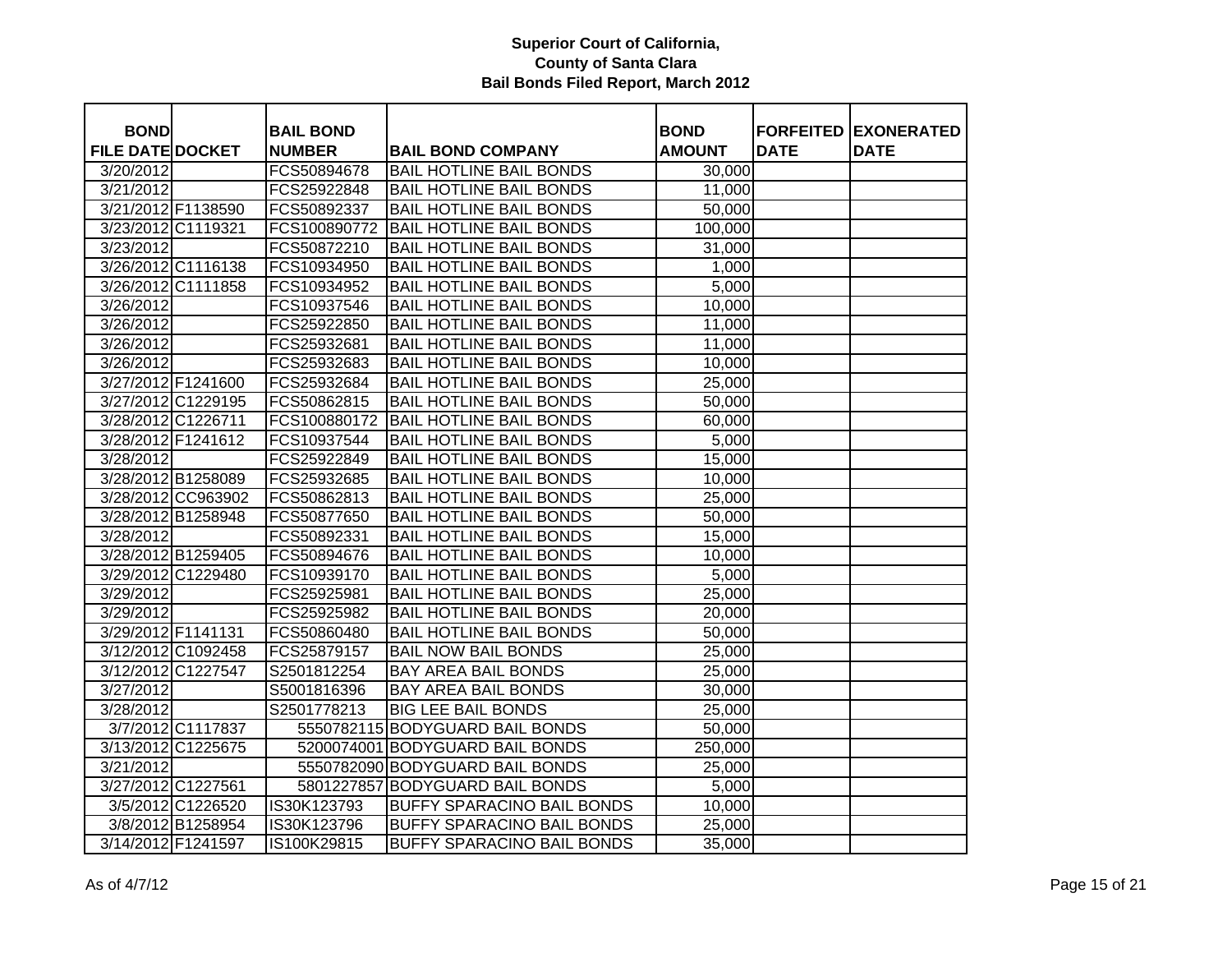| <b>BOND</b>             |                    | <b>BAIL BOND</b> |                                   | <b>BOND</b>   |             | <b>FORFEITED EXONERATED</b> |
|-------------------------|--------------------|------------------|-----------------------------------|---------------|-------------|-----------------------------|
| <b>FILE DATE DOCKET</b> |                    | <b>NUMBER</b>    | <b>BAIL BOND COMPANY</b>          | <b>AMOUNT</b> | <b>DATE</b> | <b>DATE</b>                 |
| 3/20/2012               |                    | FCS50894678      | <b>BAIL HOTLINE BAIL BONDS</b>    | 30,000        |             |                             |
| 3/21/2012               |                    | FCS25922848      | <b>BAIL HOTLINE BAIL BONDS</b>    | 11,000        |             |                             |
| 3/21/2012 F1138590      |                    | FCS50892337      | <b>BAIL HOTLINE BAIL BONDS</b>    | 50,000        |             |                             |
| 3/23/2012 C1119321      |                    | FCS100890772     | <b>BAIL HOTLINE BAIL BONDS</b>    | 100,000       |             |                             |
| 3/23/2012               |                    | FCS50872210      | <b>BAIL HOTLINE BAIL BONDS</b>    | 31,000        |             |                             |
| 3/26/2012 C1116138      |                    | FCS10934950      | <b>BAIL HOTLINE BAIL BONDS</b>    | 1,000         |             |                             |
| 3/26/2012 C1111858      |                    | FCS10934952      | <b>BAIL HOTLINE BAIL BONDS</b>    | 5,000         |             |                             |
| 3/26/2012               |                    | FCS10937546      | <b>BAIL HOTLINE BAIL BONDS</b>    | 10,000        |             |                             |
| 3/26/2012               |                    | FCS25922850      | <b>BAIL HOTLINE BAIL BONDS</b>    | 11,000        |             |                             |
| 3/26/2012               |                    | FCS25932681      | <b>BAIL HOTLINE BAIL BONDS</b>    | 11,000        |             |                             |
| 3/26/2012               |                    | FCS25932683      | <b>BAIL HOTLINE BAIL BONDS</b>    | 10,000        |             |                             |
| 3/27/2012 F1241600      |                    | FCS25932684      | <b>BAIL HOTLINE BAIL BONDS</b>    | 25,000        |             |                             |
| 3/27/2012 C1229195      |                    | FCS50862815      | <b>BAIL HOTLINE BAIL BONDS</b>    | 50,000        |             |                             |
| 3/28/2012 C1226711      |                    | FCS100880172     | <b>BAIL HOTLINE BAIL BONDS</b>    | 60,000        |             |                             |
| 3/28/2012 F1241612      |                    | FCS10937544      | <b>BAIL HOTLINE BAIL BONDS</b>    | 5,000         |             |                             |
| 3/28/2012               |                    | FCS25922849      | <b>BAIL HOTLINE BAIL BONDS</b>    | 15,000        |             |                             |
| 3/28/2012 B1258089      |                    | FCS25932685      | <b>BAIL HOTLINE BAIL BONDS</b>    | 10,000        |             |                             |
|                         | 3/28/2012 CC963902 | FCS50862813      | <b>BAIL HOTLINE BAIL BONDS</b>    | 25,000        |             |                             |
| 3/28/2012 B1258948      |                    | FCS50877650      | <b>BAIL HOTLINE BAIL BONDS</b>    | 50,000        |             |                             |
| 3/28/2012               |                    | FCS50892331      | <b>BAIL HOTLINE BAIL BONDS</b>    | 15,000        |             |                             |
| 3/28/2012 B1259405      |                    | FCS50894676      | <b>BAIL HOTLINE BAIL BONDS</b>    | 10,000        |             |                             |
| 3/29/2012 C1229480      |                    | FCS10939170      | <b>BAIL HOTLINE BAIL BONDS</b>    | 5,000         |             |                             |
| 3/29/2012               |                    | FCS25925981      | <b>BAIL HOTLINE BAIL BONDS</b>    | 25,000        |             |                             |
| 3/29/2012               |                    | FCS25925982      | <b>BAIL HOTLINE BAIL BONDS</b>    | 20,000        |             |                             |
| 3/29/2012 F1141131      |                    | FCS50860480      | <b>BAIL HOTLINE BAIL BONDS</b>    | 50,000        |             |                             |
| 3/12/2012 C1092458      |                    | FCS25879157      | <b>BAIL NOW BAIL BONDS</b>        | 25,000        |             |                             |
| 3/12/2012 C1227547      |                    | S2501812254      | <b>BAY AREA BAIL BONDS</b>        | 25,000        |             |                             |
| 3/27/2012               |                    | S5001816396      | BAY AREA BAIL BONDS               | 30,000        |             |                             |
| 3/28/2012               |                    | S2501778213      | <b>BIG LEE BAIL BONDS</b>         | 25,000        |             |                             |
|                         | 3/7/2012 C1117837  |                  | 5550782115 BODYGUARD BAIL BONDS   | 50,000        |             |                             |
| 3/13/2012 C1225675      |                    |                  | 5200074001 BODYGUARD BAIL BONDS   | 250,000       |             |                             |
| 3/21/2012               |                    |                  | 5550782090 BODYGUARD BAIL BONDS   | 25,000        |             |                             |
| 3/27/2012 C1227561      |                    |                  | 5801227857 BODYGUARD BAIL BONDS   | 5,000         |             |                             |
|                         | 3/5/2012 C1226520  | IS30K123793      | <b>BUFFY SPARACINO BAIL BONDS</b> | 10,000        |             |                             |
|                         | 3/8/2012 B1258954  | IS30K123796      | BUFFY SPARACINO BAIL BONDS        | 25,000        |             |                             |
| 3/14/2012 F1241597      |                    | IS100K29815      | <b>BUFFY SPARACINO BAIL BONDS</b> | 35,000        |             |                             |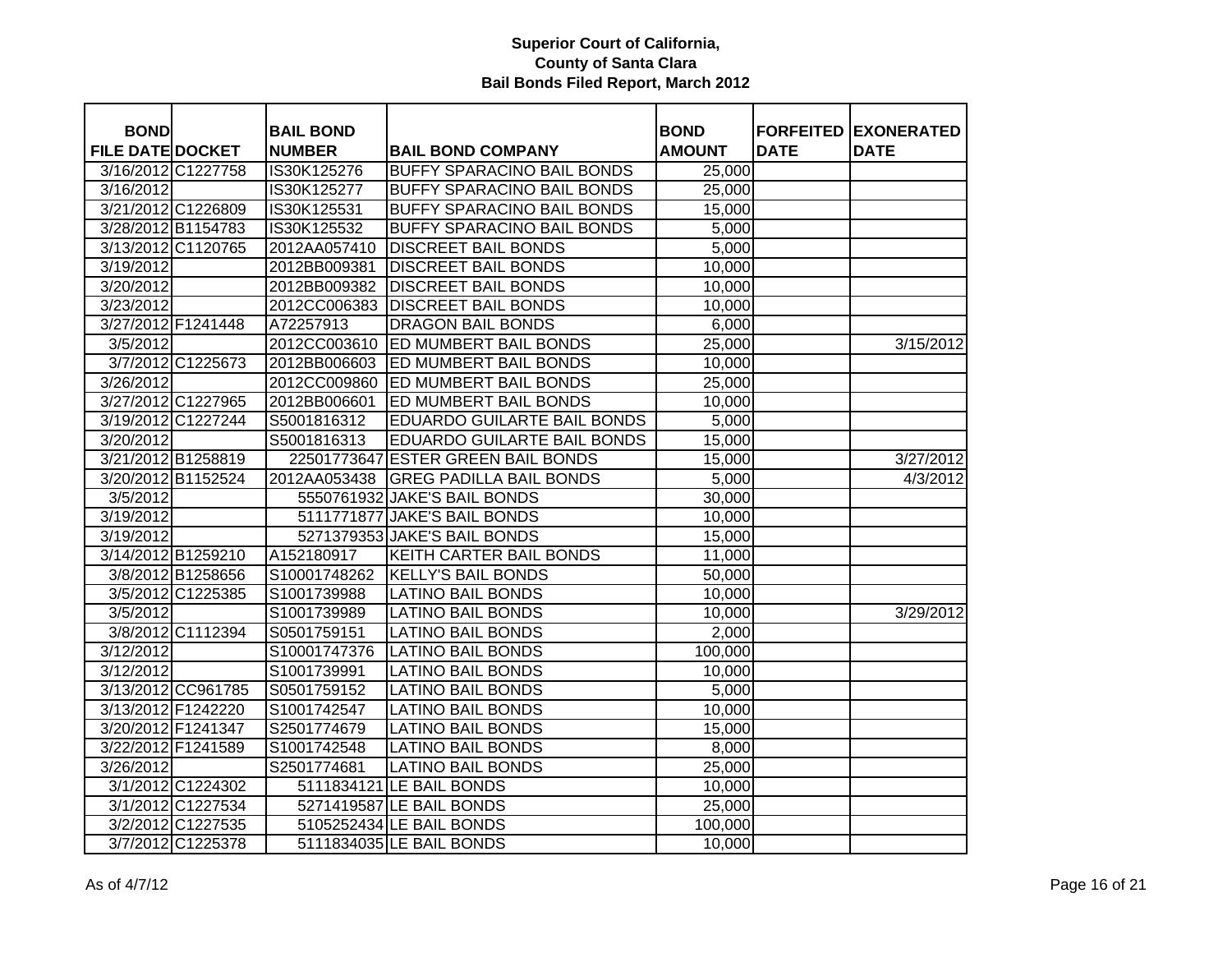| <b>BOND</b>             |                    | <b>BAIL BOND</b> |                                    | <b>BOND</b>   |             | <b>FORFEITED EXONERATED</b> |
|-------------------------|--------------------|------------------|------------------------------------|---------------|-------------|-----------------------------|
| <b>FILE DATE DOCKET</b> |                    | <b>NUMBER</b>    | <b>BAIL BOND COMPANY</b>           | <b>AMOUNT</b> | <b>DATE</b> | <b>DATE</b>                 |
|                         | 3/16/2012 C1227758 | IS30K125276      | BUFFY SPARACINO BAIL BONDS         | 25,000        |             |                             |
| 3/16/2012               |                    | IS30K125277      | BUFFY SPARACINO BAIL BONDS         | 25,000        |             |                             |
|                         | 3/21/2012 C1226809 | IS30K125531      | BUFFY SPARACINO BAIL BONDS         | 15,000        |             |                             |
|                         | 3/28/2012 B1154783 | IS30K125532      | BUFFY SPARACINO BAIL BONDS         | 5,000         |             |                             |
|                         | 3/13/2012 C1120765 | 2012AA057410     | <b>DISCREET BAIL BONDS</b>         | 5,000         |             |                             |
| 3/19/2012               |                    | 2012BB009381     | <b>DISCREET BAIL BONDS</b>         | 10,000        |             |                             |
| 3/20/2012               |                    | 2012BB009382     | <b>DISCREET BAIL BONDS</b>         | 10,000        |             |                             |
| 3/23/2012               |                    | 2012CC006383     | <b>DISCREET BAIL BONDS</b>         | 10,000        |             |                             |
|                         | 3/27/2012 F1241448 | A72257913        | <b>DRAGON BAIL BONDS</b>           | 6,000         |             |                             |
| $\sqrt{3}/5/2012$       |                    | 2012CC003610     | <b>ED MUMBERT BAIL BONDS</b>       | 25,000        |             | 3/15/2012                   |
|                         | 3/7/2012 C1225673  | 2012BB006603     | <b>ED MUMBERT BAIL BONDS</b>       | 10,000        |             |                             |
| 3/26/2012               |                    | 2012CC009860     | <b>ED MUMBERT BAIL BONDS</b>       | 25,000        |             |                             |
|                         | 3/27/2012 C1227965 | 2012BB006601     | ED MUMBERT BAIL BONDS              | 10,000        |             |                             |
|                         | 3/19/2012 C1227244 | S5001816312      | <b>EDUARDO GUILARTE BAIL BONDS</b> | 5,000         |             |                             |
| 3/20/2012               |                    | S5001816313      | EDUARDO GUILARTE BAIL BONDS        | 15,000        |             |                             |
|                         | 3/21/2012 B1258819 |                  | 22501773647 ESTER GREEN BAIL BONDS | 15,000        |             | 3/27/2012                   |
|                         | 3/20/2012 B1152524 | 2012AA053438     | <b>GREG PADILLA BAIL BONDS</b>     | 5,000         |             | 4/3/2012                    |
| 3/5/2012                |                    |                  | 5550761932 JAKE'S BAIL BONDS       | 30,000        |             |                             |
| 3/19/2012               |                    |                  | 5111771877 JAKE'S BAIL BONDS       | 10,000        |             |                             |
| 3/19/2012               |                    |                  | 5271379353 JAKE'S BAIL BONDS       | 15,000        |             |                             |
|                         | 3/14/2012 B1259210 | A152180917       | KEITH CARTER BAIL BONDS            | 11,000        |             |                             |
|                         | 3/8/2012 B1258656  | S10001748262     | <b>KELLY'S BAIL BONDS</b>          | 50,000        |             |                             |
|                         | 3/5/2012 C1225385  | S1001739988      | <b>LATINO BAIL BONDS</b>           | 10,000        |             |                             |
| 3/5/2012                |                    | S1001739989      | <b>LATINO BAIL BONDS</b>           | 10,000        |             | 3/29/2012                   |
|                         | 3/8/2012 C1112394  | S0501759151      | <b>LATINO BAIL BONDS</b>           | 2,000         |             |                             |
| 3/12/2012               |                    | S10001747376     | <b>LATINO BAIL BONDS</b>           | 100,000       |             |                             |
| 3/12/2012               |                    | S1001739991      | <b>LATINO BAIL BONDS</b>           | 10,000        |             |                             |
|                         | 3/13/2012 CC961785 | S0501759152      | <b>LATINO BAIL BONDS</b>           | 5,000         |             |                             |
|                         | 3/13/2012 F1242220 | S1001742547      | <b>LATINO BAIL BONDS</b>           | 10,000        |             |                             |
|                         | 3/20/2012 F1241347 | S2501774679      | <b>LATINO BAIL BONDS</b>           | 15,000        |             |                             |
|                         | 3/22/2012 F1241589 | S1001742548      | <b>LATINO BAIL BONDS</b>           | 8,000         |             |                             |
| 3/26/2012               |                    | S2501774681      | <b>LATINO BAIL BONDS</b>           | 25,000        |             |                             |
|                         | 3/1/2012 C1224302  |                  | 5111834121 LE BAIL BONDS           | 10,000        |             |                             |
|                         | 3/1/2012 C1227534  |                  | 5271419587 LE BAIL BONDS           | 25,000        |             |                             |
|                         | 3/2/2012 C1227535  |                  | 5105252434 LE BAIL BONDS           | 100,000       |             |                             |
|                         | 3/7/2012 C1225378  |                  | 5111834035 LE BAIL BONDS           | 10,000        |             |                             |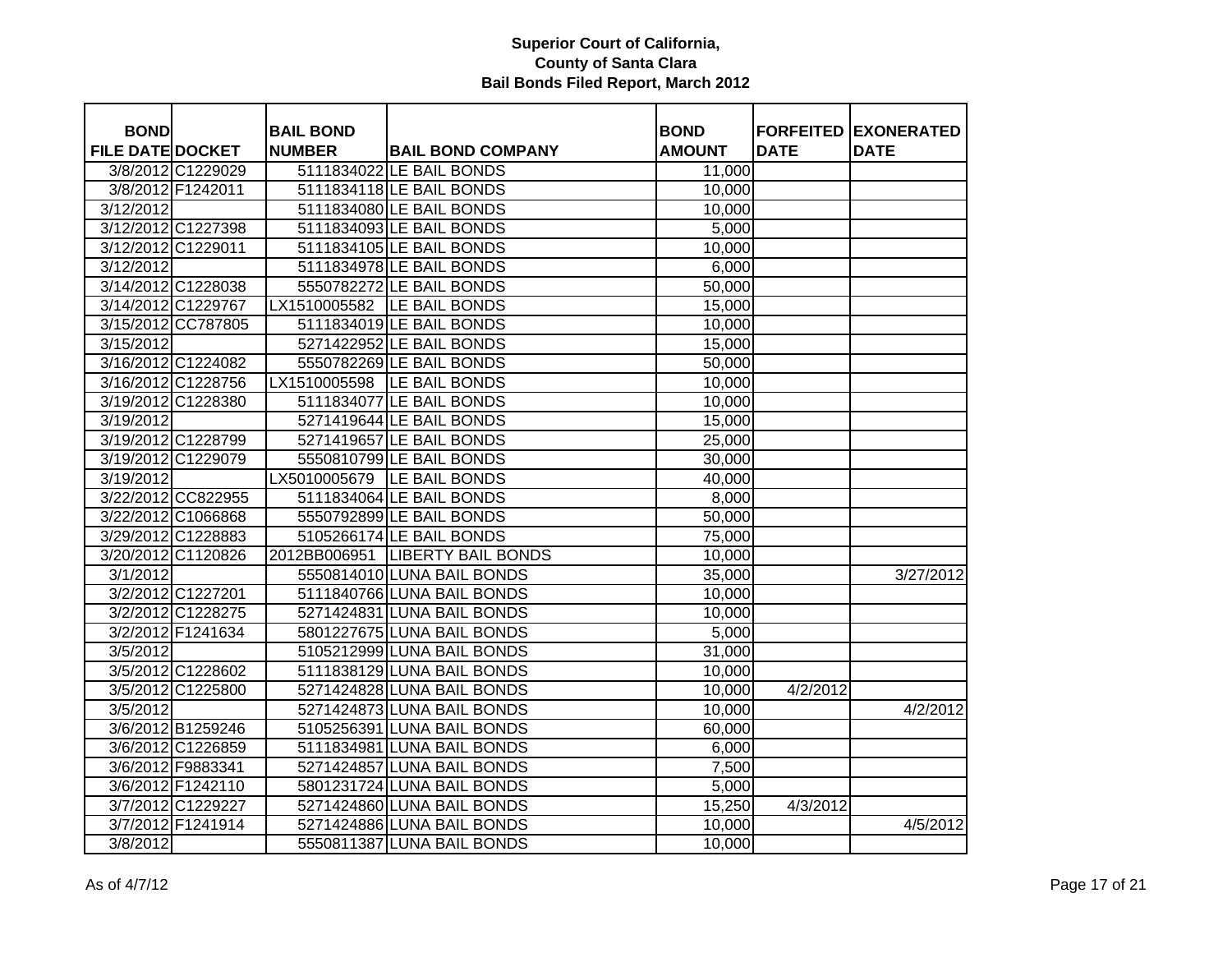| <b>BOND</b>             |                    | <b>BAIL BOND</b> |                                  | <b>BOND</b>   |             | <b>FORFEITED EXONERATED</b> |
|-------------------------|--------------------|------------------|----------------------------------|---------------|-------------|-----------------------------|
| <b>FILE DATE DOCKET</b> |                    | <b>NUMBER</b>    | <b>BAIL BOND COMPANY</b>         | <b>AMOUNT</b> | <b>DATE</b> | <b>DATE</b>                 |
|                         | 3/8/2012 C1229029  |                  | 5111834022 LE BAIL BONDS         | 11,000        |             |                             |
|                         | 3/8/2012 F1242011  |                  | 5111834118 LE BAIL BONDS         | 10,000        |             |                             |
| 3/12/2012               |                    |                  | 5111834080 LE BAIL BONDS         | 10,000        |             |                             |
| 3/12/2012 C1227398      |                    |                  | 5111834093 LE BAIL BONDS         | 5,000         |             |                             |
| 3/12/2012 C1229011      |                    |                  | 5111834105 LE BAIL BONDS         | 10,000        |             |                             |
| 3/12/2012               |                    |                  | 5111834978 LE BAIL BONDS         | 6,000         |             |                             |
| 3/14/2012 C1228038      |                    |                  | 5550782272 LE BAIL BONDS         | 50,000        |             |                             |
| 3/14/2012 C1229767      |                    | LX1510005582     | LE BAIL BONDS                    | 15,000        |             |                             |
|                         | 3/15/2012 CC787805 |                  | 5111834019 LE BAIL BONDS         | 10,000        |             |                             |
| 3/15/2012               |                    |                  | 5271422952 LE BAIL BONDS         | 15,000        |             |                             |
| 3/16/2012 C1224082      |                    |                  | 5550782269 LE BAIL BONDS         | 50,000        |             |                             |
| 3/16/2012 C1228756      |                    |                  | LX1510005598  LE BAIL BONDS      | 10,000        |             |                             |
| 3/19/2012 C1228380      |                    |                  | 5111834077 LE BAIL BONDS         | 10,000        |             |                             |
| 3/19/2012               |                    |                  | 5271419644 LE BAIL BONDS         | 15,000        |             |                             |
| 3/19/2012 C1228799      |                    |                  | 5271419657 LE BAIL BONDS         | 25,000        |             |                             |
| 3/19/2012 C1229079      |                    |                  | 5550810799 LE BAIL BONDS         | 30,000        |             |                             |
| 3/19/2012               |                    |                  | LX5010005679 LE BAIL BONDS       | 40,000        |             |                             |
|                         | 3/22/2012 CC822955 |                  | 5111834064 LE BAIL BONDS         | 8,000         |             |                             |
|                         | 3/22/2012 C1066868 |                  | 5550792899 LE BAIL BONDS         | 50,000        |             |                             |
| 3/29/2012 C1228883      |                    |                  | 5105266174 LE BAIL BONDS         | 75,000        |             |                             |
| 3/20/2012 C1120826      |                    |                  | 2012BB006951  LIBERTY BAIL BONDS | 10,000        |             |                             |
| 3/1/2012                |                    |                  | 5550814010 LUNA BAIL BONDS       | 35,000        |             | 3/27/2012                   |
|                         | 3/2/2012 C1227201  |                  | 5111840766 LUNA BAIL BONDS       | 10,000        |             |                             |
|                         | 3/2/2012 C1228275  |                  | 5271424831 LUNA BAIL BONDS       | 10,000        |             |                             |
|                         | 3/2/2012 F1241634  |                  | 5801227675 LUNA BAIL BONDS       | 5,000         |             |                             |
| 3/5/2012                |                    |                  | 5105212999 LUNA BAIL BONDS       | 31,000        |             |                             |
|                         | 3/5/2012 C1228602  |                  | 5111838129 LUNA BAIL BONDS       | 10,000        |             |                             |
|                         | 3/5/2012 C1225800  |                  | 5271424828 LUNA BAIL BONDS       | 10,000        | 4/2/2012    |                             |
| 3/5/2012                |                    |                  | 5271424873 LUNA BAIL BONDS       | 10,000        |             | 4/2/2012                    |
|                         | 3/6/2012 B1259246  |                  | 5105256391 LUNA BAIL BONDS       | 60,000        |             |                             |
|                         | 3/6/2012 C1226859  |                  | 5111834981 LUNA BAIL BONDS       | 6,000         |             |                             |
|                         | 3/6/2012 F9883341  |                  | 5271424857 LUNA BAIL BONDS       | 7,500         |             |                             |
|                         | 3/6/2012 F1242110  |                  | 5801231724 LUNA BAIL BONDS       | 5,000         |             |                             |
|                         | 3/7/2012 C1229227  |                  | 5271424860 LUNA BAIL BONDS       | 15,250        | 4/3/2012    |                             |
|                         | 3/7/2012 F1241914  |                  | 5271424886 LUNA BAIL BONDS       | 10,000        |             | 4/5/2012                    |
| $\sqrt{3}/8/2012$       |                    |                  | 5550811387 LUNA BAIL BONDS       | 10,000        |             |                             |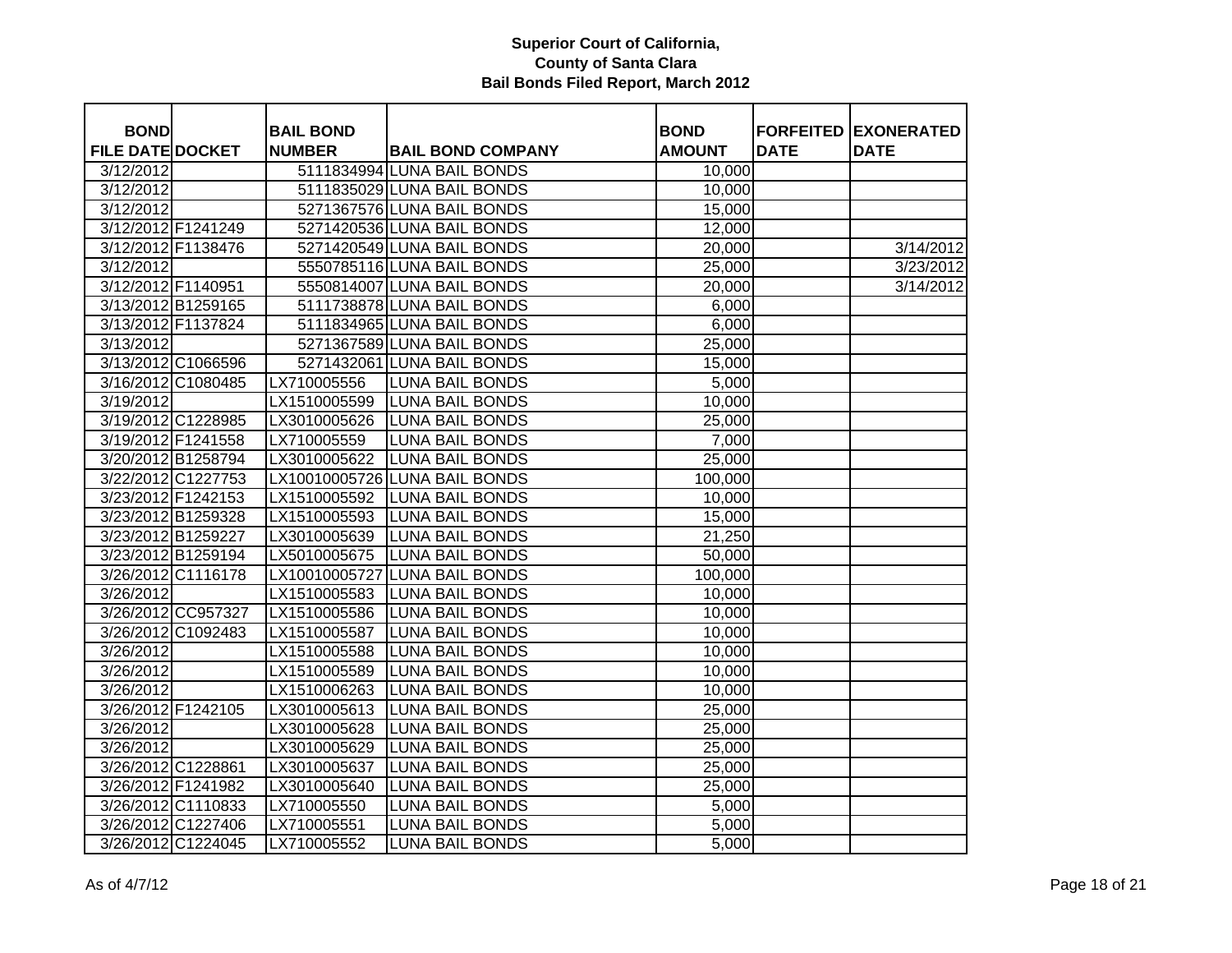| <b>BOND</b>             |                    | <b>BAIL BOND</b> |                               | <b>BOND</b>   |             | <b>FORFEITED EXONERATED</b> |
|-------------------------|--------------------|------------------|-------------------------------|---------------|-------------|-----------------------------|
| <b>FILE DATE DOCKET</b> |                    | <b>NUMBER</b>    | <b>BAIL BOND COMPANY</b>      | <b>AMOUNT</b> | <b>DATE</b> | <b>DATE</b>                 |
| 3/12/2012               |                    |                  | 5111834994 LUNA BAIL BONDS    | 10,000        |             |                             |
| 3/12/2012               |                    |                  | 5111835029 LUNA BAIL BONDS    | 10,000        |             |                             |
| 3/12/2012               |                    |                  | 5271367576 LUNA BAIL BONDS    | 15,000        |             |                             |
| 3/12/2012 F1241249      |                    |                  | 5271420536 LUNA BAIL BONDS    | 12,000        |             |                             |
| 3/12/2012 F1138476      |                    |                  | 5271420549 LUNA BAIL BONDS    | 20,000        |             | 3/14/2012                   |
| 3/12/2012               |                    |                  | 5550785116 LUNA BAIL BONDS    | 25,000        |             | 3/23/2012                   |
| 3/12/2012 F1140951      |                    |                  | 5550814007 LUNA BAIL BONDS    | 20,000        |             | 3/14/2012                   |
|                         | 3/13/2012 B1259165 |                  | 5111738878 LUNA BAIL BONDS    | 6,000         |             |                             |
| 3/13/2012 F1137824      |                    |                  | 5111834965 LUNA BAIL BONDS    | 6,000         |             |                             |
| 3/13/2012               |                    |                  | 5271367589 LUNA BAIL BONDS    | 25,000        |             |                             |
| 3/13/2012 C1066596      |                    |                  | 5271432061 LUNA BAIL BONDS    | 15,000        |             |                             |
| 3/16/2012 C1080485      |                    | LX710005556      | <b>LUNA BAIL BONDS</b>        | 5,000         |             |                             |
| 3/19/2012               |                    | LX1510005599     | <b>LUNA BAIL BONDS</b>        | 10,000        |             |                             |
| 3/19/2012 C1228985      |                    | LX3010005626     | <b>LUNA BAIL BONDS</b>        | 25,000        |             |                             |
| 3/19/2012 F1241558      |                    | LX710005559      | <b>LUNA BAIL BONDS</b>        | 7,000         |             |                             |
| 3/20/2012 B1258794      |                    | LX3010005622     | <b>LUNA BAIL BONDS</b>        | 25,000        |             |                             |
| 3/22/2012 C1227753      |                    |                  | LX10010005726 LUNA BAIL BONDS | 100,000       |             |                             |
| 3/23/2012 F1242153      |                    | LX1510005592     | <b>LUNA BAIL BONDS</b>        | 10,000        |             |                             |
| 3/23/2012 B1259328      |                    | LX1510005593     | <b>LUNA BAIL BONDS</b>        | 15,000        |             |                             |
| 3/23/2012 B1259227      |                    | LX3010005639     | <b>LUNA BAIL BONDS</b>        | 21,250        |             |                             |
| 3/23/2012 B1259194      |                    | LX5010005675     | <b>LUNA BAIL BONDS</b>        | 50,000        |             |                             |
| 3/26/2012 C1116178      |                    |                  | LX10010005727 LUNA BAIL BONDS | 100,000       |             |                             |
| 3/26/2012               |                    | LX1510005583     | <b>LUNA BAIL BONDS</b>        | 10,000        |             |                             |
|                         | 3/26/2012 CC957327 | LX1510005586     | <b>LUNA BAIL BONDS</b>        | 10,000        |             |                             |
| 3/26/2012 C1092483      |                    | LX1510005587     | <b>LUNA BAIL BONDS</b>        | 10,000        |             |                             |
| 3/26/2012               |                    | LX1510005588     | <b>LUNA BAIL BONDS</b>        | 10,000        |             |                             |
| 3/26/2012               |                    | LX1510005589     | <b>LUNA BAIL BONDS</b>        | 10,000        |             |                             |
| 3/26/2012               |                    | LX1510006263     | <b>LUNA BAIL BONDS</b>        | 10,000        |             |                             |
| 3/26/2012 F1242105      |                    | LX3010005613     | <b>LUNA BAIL BONDS</b>        | 25,000        |             |                             |
| 3/26/2012               |                    | LX3010005628     | <b>LUNA BAIL BONDS</b>        | 25,000        |             |                             |
| 3/26/2012               |                    | LX3010005629     | <b>LUNA BAIL BONDS</b>        | 25,000        |             |                             |
| 3/26/2012 C1228861      |                    | LX3010005637     | <b>LUNA BAIL BONDS</b>        | 25,000        |             |                             |
| 3/26/2012 F1241982      |                    | LX3010005640     | <b>LUNA BAIL BONDS</b>        | 25,000        |             |                             |
| 3/26/2012 C1110833      |                    | LX710005550      | <b>LUNA BAIL BONDS</b>        | 5,000         |             |                             |
| 3/26/2012 C1227406      |                    | LX710005551      | <b>LUNA BAIL BONDS</b>        | 5,000         |             |                             |
|                         | 3/26/2012 C1224045 | LX710005552      | <b>LUNA BAIL BONDS</b>        | 5,000         |             |                             |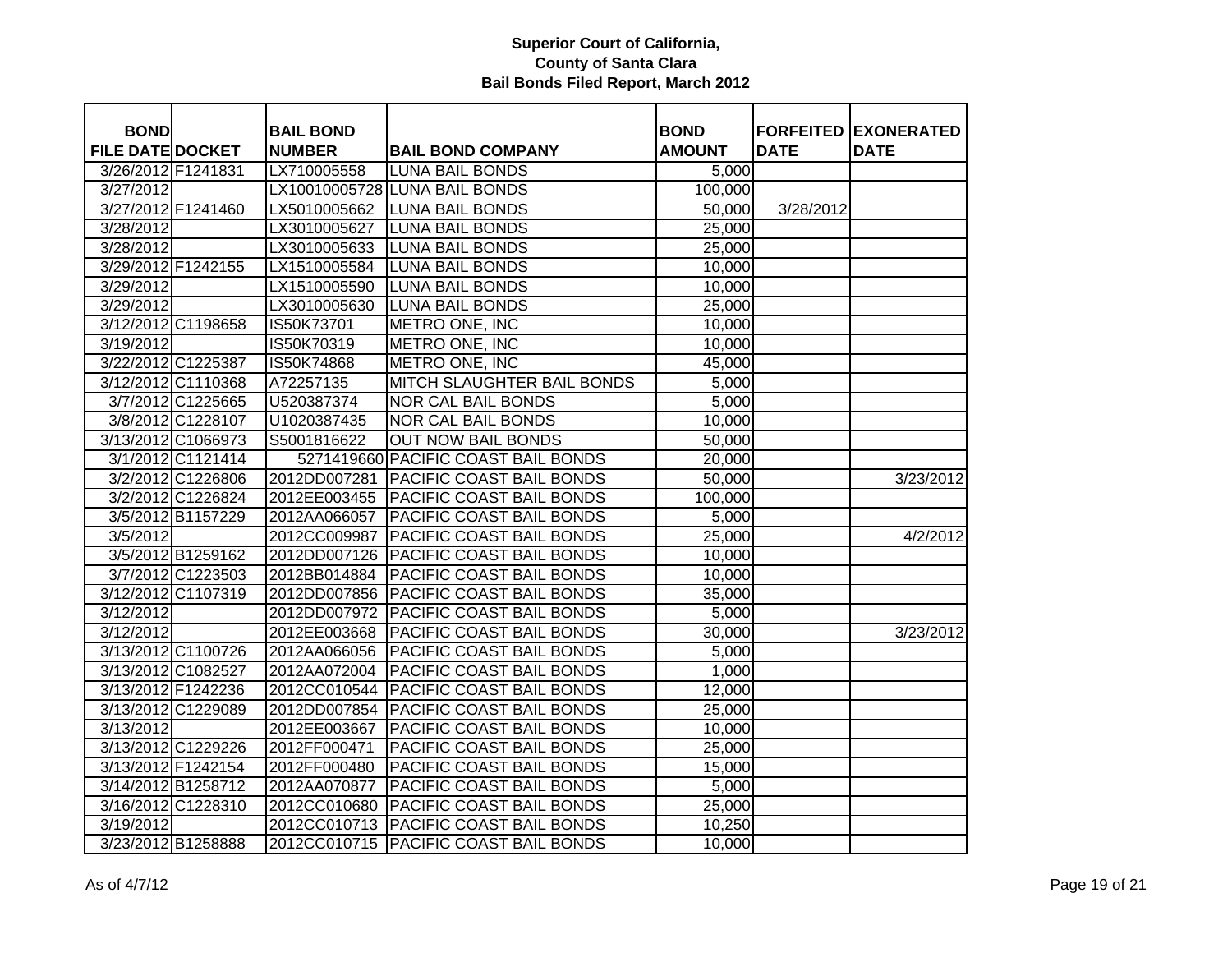| <b>BOND</b>             |                    | <b>BAIL BOND</b> |                                         | <b>BOND</b>   |             | <b>FORFEITED EXONERATED</b> |
|-------------------------|--------------------|------------------|-----------------------------------------|---------------|-------------|-----------------------------|
| <b>FILE DATE DOCKET</b> |                    | <b>NUMBER</b>    | <b>BAIL BOND COMPANY</b>                | <b>AMOUNT</b> | <b>DATE</b> | <b>DATE</b>                 |
| 3/26/2012 F1241831      |                    | LX710005558      | <b>LUNA BAIL BONDS</b>                  | 5,000         |             |                             |
| $\overline{3}/27/2012$  |                    |                  | LX10010005728 LUNA BAIL BONDS           | 100,000       |             |                             |
|                         | 3/27/2012 F1241460 | LX5010005662     | <b>LUNA BAIL BONDS</b>                  | 50,000        | 3/28/2012   |                             |
| 3/28/2012               |                    | LX3010005627     | <b>LUNA BAIL BONDS</b>                  | 25,000        |             |                             |
| 3/28/2012               |                    | LX3010005633     | <b>LUNA BAIL BONDS</b>                  | 25,000        |             |                             |
|                         | 3/29/2012 F1242155 | LX1510005584     | <b>LUNA BAIL BONDS</b>                  | 10,000        |             |                             |
| 3/29/2012               |                    | LX1510005590     | <b>LUNA BAIL BONDS</b>                  | 10,000        |             |                             |
| 3/29/2012               |                    | LX3010005630     | <b>LUNA BAIL BONDS</b>                  | 25,000        |             |                             |
|                         | 3/12/2012 C1198658 | IS50K73701       | METRO ONE, INC                          | 10,000        |             |                             |
| 3/19/2012               |                    | IS50K70319       | METRO ONE, INC                          | 10,000        |             |                             |
|                         | 3/22/2012 C1225387 | IS50K74868       | METRO ONE, INC                          | 45,000        |             |                             |
|                         | 3/12/2012 C1110368 | A72257135        | <b>MITCH SLAUGHTER BAIL BONDS</b>       | 5,000         |             |                             |
|                         | 3/7/2012 C1225665  | U520387374       | <b>NOR CAL BAIL BONDS</b>               | 5,000         |             |                             |
|                         | 3/8/2012 C1228107  | U1020387435      | <b>NOR CAL BAIL BONDS</b>               | 10,000        |             |                             |
|                         | 3/13/2012 C1066973 | S5001816622      | <b>OUT NOW BAIL BONDS</b>               | 50,000        |             |                             |
|                         | 3/1/2012 C1121414  |                  | 5271419660 PACIFIC COAST BAIL BONDS     | 20,000        |             |                             |
|                         | 3/2/2012 C1226806  | 2012DD007281     | <b>PACIFIC COAST BAIL BONDS</b>         | 50,000        |             | 3/23/2012                   |
|                         | 3/2/2012 C1226824  |                  | 2012EE003455 PACIFIC COAST BAIL BONDS   | 100,000       |             |                             |
|                         | 3/5/2012 B1157229  |                  | 2012AA066057 PACIFIC COAST BAIL BONDS   | 5,000         |             |                             |
| 3/5/2012                |                    |                  | 2012CC009987   PACIFIC COAST BAIL BONDS | 25,000        |             | 4/2/2012                    |
|                         | 3/5/2012 B1259162  |                  | 2012DD007126 PACIFIC COAST BAIL BONDS   | 10,000        |             |                             |
|                         | 3/7/2012 C1223503  | 2012BB014884     | <b>PACIFIC COAST BAIL BONDS</b>         | 10,000        |             |                             |
|                         | 3/12/2012 C1107319 |                  | 2012DD007856 PACIFIC COAST BAIL BONDS   | 35,000        |             |                             |
| 3/12/2012               |                    | 2012DD007972     | <b>PACIFIC COAST BAIL BONDS</b>         | 5,000         |             |                             |
| 3/12/2012               |                    | 2012EE003668     | <b>PACIFIC COAST BAIL BONDS</b>         | 30,000        |             | 3/23/2012                   |
|                         | 3/13/2012 C1100726 | 2012AA066056     | <b>PACIFIC COAST BAIL BONDS</b>         | 5,000         |             |                             |
|                         | 3/13/2012 C1082527 | 2012AA072004     | <b>PACIFIC COAST BAIL BONDS</b>         | 1,000         |             |                             |
|                         | 3/13/2012 F1242236 | 2012CC010544     | PACIFIC COAST BAIL BONDS                | 12,000        |             |                             |
|                         | 3/13/2012 C1229089 | 2012DD007854     | <b>PACIFIC COAST BAIL BONDS</b>         | 25,000        |             |                             |
| 3/13/2012               |                    | 2012EE003667     | PACIFIC COAST BAIL BONDS                | 10,000        |             |                             |
|                         | 3/13/2012 C1229226 | 2012FF000471     | PACIFIC COAST BAIL BONDS                | 25,000        |             |                             |
|                         | 3/13/2012 F1242154 | 2012FF000480     | PACIFIC COAST BAIL BONDS                | 15,000        |             |                             |
|                         | 3/14/2012 B1258712 | 2012AA070877     | PACIFIC COAST BAIL BONDS                | 5,000         |             |                             |
|                         | 3/16/2012 C1228310 | 2012CC010680     | <b>PACIFIC COAST BAIL BONDS</b>         | 25,000        |             |                             |
| 3/19/2012               |                    |                  | 2012CC010713 PACIFIC COAST BAIL BONDS   | 10,250        |             |                             |
|                         | 3/23/2012 B1258888 |                  | 2012CC010715   PACIFIC COAST BAIL BONDS | 10,000        |             |                             |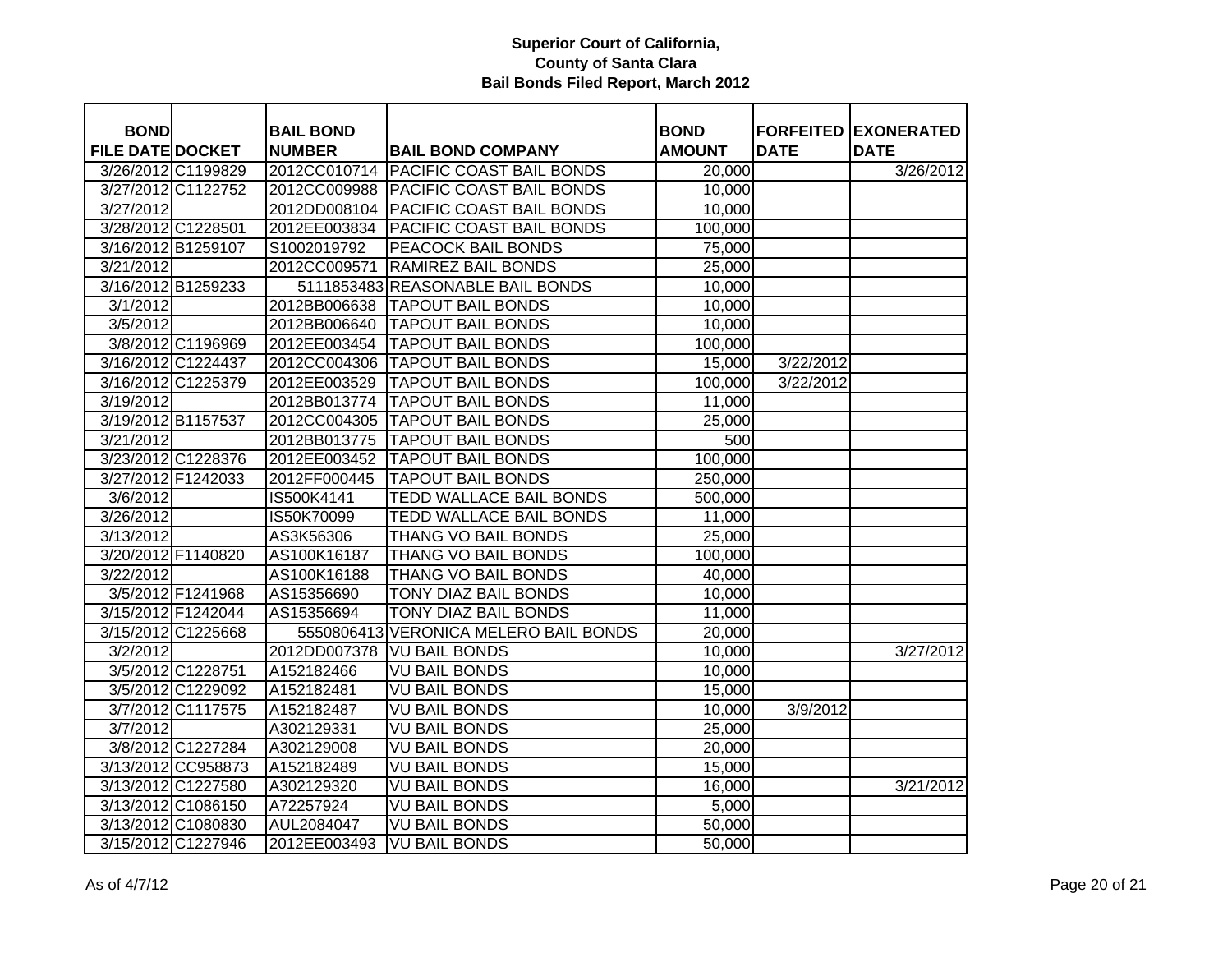| <b>BOND</b>             |                    | <b>BAIL BOND</b> |                                       | <b>BOND</b>   |             | <b>FORFEITED EXONERATED</b> |
|-------------------------|--------------------|------------------|---------------------------------------|---------------|-------------|-----------------------------|
| <b>FILE DATE DOCKET</b> |                    | <b>NUMBER</b>    | <b>BAIL BOND COMPANY</b>              | <b>AMOUNT</b> | <b>DATE</b> | <b>DATE</b>                 |
|                         | 3/26/2012 C1199829 | 2012CC010714     | <b>PACIFIC COAST BAIL BONDS</b>       | 20,000        |             | 3/26/2012                   |
|                         | 3/27/2012 C1122752 | 2012CC009988     | <b>PACIFIC COAST BAIL BONDS</b>       | 10,000        |             |                             |
| 3/27/2012               |                    | 2012DD008104     | <b>PACIFIC COAST BAIL BONDS</b>       | 10,000        |             |                             |
| 3/28/2012 C1228501      |                    | 2012EE003834     | PACIFIC COAST BAIL BONDS              | 100,000       |             |                             |
| 3/16/2012 B1259107      |                    | S1002019792      | PEACOCK BAIL BONDS                    | 75,000        |             |                             |
| 3/21/2012               |                    | 2012CC009571     | <b>RAMIREZ BAIL BONDS</b>             | 25,000        |             |                             |
|                         | 3/16/2012 B1259233 |                  | 5111853483 REASONABLE BAIL BONDS      | 10,000        |             |                             |
| 3/1/2012                |                    |                  | 2012BB006638   TAPOUT BAIL BONDS      | 10,000        |             |                             |
| 3/5/2012                |                    | 2012BB006640     | <b>TAPOUT BAIL BONDS</b>              | 10,000        |             |                             |
|                         | 3/8/2012 C1196969  | 2012EE003454     | <b>TAPOUT BAIL BONDS</b>              | 100,000       |             |                             |
| 3/16/2012 C1224437      |                    |                  | 2012CC004306   TAPOUT BAIL BONDS      | 15,000        | 3/22/2012   |                             |
|                         | 3/16/2012 C1225379 | 2012EE003529     | <b>TAPOUT BAIL BONDS</b>              | 100,000       | 3/22/2012   |                             |
| 3/19/2012               |                    | 2012BB013774     | <b>TAPOUT BAIL BONDS</b>              | 11,000        |             |                             |
| 3/19/2012 B1157537      |                    |                  | 2012CC004305   TAPOUT BAIL BONDS      | 25,000        |             |                             |
| 3/21/2012               |                    | 2012BB013775     | <b>TAPOUT BAIL BONDS</b>              | 500           |             |                             |
|                         | 3/23/2012 C1228376 | 2012EE003452     | <b>TAPOUT BAIL BONDS</b>              | 100,000       |             |                             |
| 3/27/2012 F1242033      |                    | 2012FF000445     | <b>TAPOUT BAIL BONDS</b>              | 250,000       |             |                             |
| 3/6/2012                |                    | IS500K4141       | <b>TEDD WALLACE BAIL BONDS</b>        | 500,000       |             |                             |
| 3/26/2012               |                    | IS50K70099       | <b>TEDD WALLACE BAIL BONDS</b>        | 11,000        |             |                             |
| 3/13/2012               |                    | AS3K56306        | <b>THANG VO BAIL BONDS</b>            | 25,000        |             |                             |
| 3/20/2012 F1140820      |                    | AS100K16187      | <b>THANG VO BAIL BONDS</b>            | 100,000       |             |                             |
| 3/22/2012               |                    | AS100K16188      | THANG VO BAIL BONDS                   | 40,000        |             |                             |
|                         | 3/5/2012 F1241968  | AS15356690       | TONY DIAZ BAIL BONDS                  | 10,000        |             |                             |
| 3/15/2012 F1242044      |                    | AS15356694       | TONY DIAZ BAIL BONDS                  | 11,000        |             |                             |
|                         | 3/15/2012 C1225668 |                  | 5550806413 VERONICA MELERO BAIL BONDS | 20,000        |             |                             |
| 3/2/2012                |                    | 2012DD007378     | <b>VU BAIL BONDS</b>                  | 10,000        |             | 3/27/2012                   |
|                         | 3/5/2012 C1228751  | A152182466       | <b>VU BAIL BONDS</b>                  | 10,000        |             |                             |
|                         | 3/5/2012 C1229092  | A152182481       | <b>VU BAIL BONDS</b>                  | 15,000        |             |                             |
|                         | 3/7/2012 C1117575  | A152182487       | <b>VU BAIL BONDS</b>                  | 10,000        | 3/9/2012    |                             |
| 3/7/2012                |                    | A302129331       | <b>VU BAIL BONDS</b>                  | 25,000        |             |                             |
|                         | 3/8/2012 C1227284  | A302129008       | <b>VU BAIL BONDS</b>                  | 20,000        |             |                             |
|                         | 3/13/2012 CC958873 | A152182489       | <b>VU BAIL BONDS</b>                  | 15,000        |             |                             |
|                         | 3/13/2012 C1227580 | A302129320       | <b>VU BAIL BONDS</b>                  | 16,000        |             | 3/21/2012                   |
|                         | 3/13/2012 C1086150 | A72257924        | <b>VU BAIL BONDS</b>                  | 5,000         |             |                             |
|                         | 3/13/2012 C1080830 | AUL2084047       | <b>VU BAIL BONDS</b>                  | 50,000        |             |                             |
|                         | 3/15/2012 C1227946 | 2012EE003493     | <b>VU BAIL BONDS</b>                  | 50,000        |             |                             |